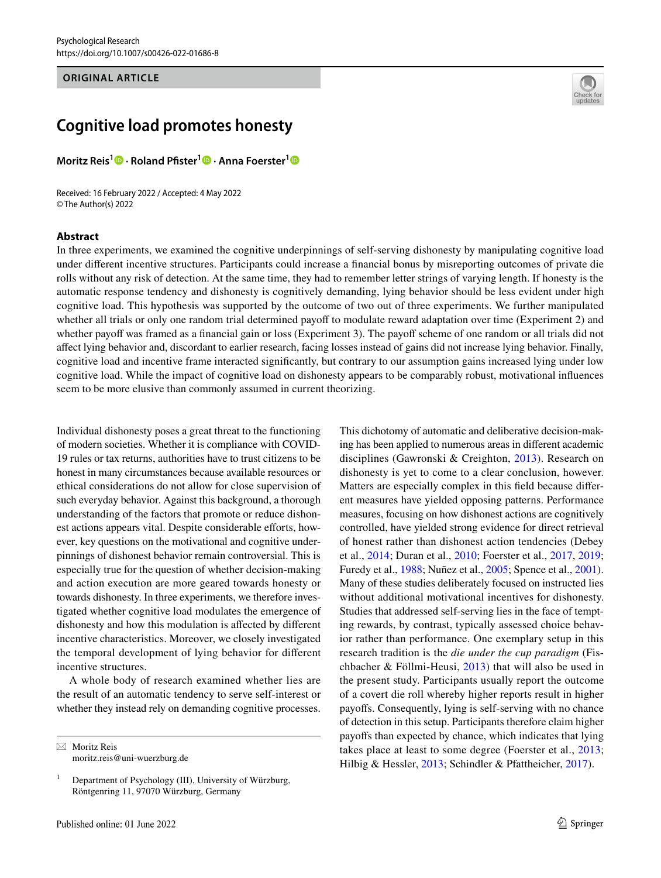#### **ORIGINAL ARTICLE**



# **Cognitive load promotes honesty**

**Moritz Reis1 · Roland Pfster[1](http://orcid.org/0000-0002-4429-1052) · Anna Foerster[1](http://orcid.org/0000-0002-8520-4672)**

Received: 16 February 2022 / Accepted: 4 May 2022 © The Author(s) 2022

#### **Abstract**

In three experiments, we examined the cognitive underpinnings of self-serving dishonesty by manipulating cognitive load under diferent incentive structures. Participants could increase a fnancial bonus by misreporting outcomes of private die rolls without any risk of detection. At the same time, they had to remember letter strings of varying length. If honesty is the automatic response tendency and dishonesty is cognitively demanding, lying behavior should be less evident under high cognitive load. This hypothesis was supported by the outcome of two out of three experiments. We further manipulated whether all trials or only one random trial determined payoff to modulate reward adaptation over time (Experiment 2) and whether payoff was framed as a financial gain or loss (Experiment 3). The payoff scheme of one random or all trials did not afect lying behavior and, discordant to earlier research, facing losses instead of gains did not increase lying behavior. Finally, cognitive load and incentive frame interacted signifcantly, but contrary to our assumption gains increased lying under low cognitive load. While the impact of cognitive load on dishonesty appears to be comparably robust, motivational infuences seem to be more elusive than commonly assumed in current theorizing.

Individual dishonesty poses a great threat to the functioning of modern societies. Whether it is compliance with COVID-19 rules or tax returns, authorities have to trust citizens to be honest in many circumstances because available resources or ethical considerations do not allow for close supervision of such everyday behavior. Against this background, a thorough understanding of the factors that promote or reduce dishonest actions appears vital. Despite considerable efforts, however, key questions on the motivational and cognitive underpinnings of dishonest behavior remain controversial. This is especially true for the question of whether decision-making and action execution are more geared towards honesty or towards dishonesty. In three experiments, we therefore investigated whether cognitive load modulates the emergence of dishonesty and how this modulation is afected by diferent incentive characteristics. Moreover, we closely investigated the temporal development of lying behavior for diferent incentive structures.

A whole body of research examined whether lies are the result of an automatic tendency to serve self-interest or whether they instead rely on demanding cognitive processes.

 $\boxtimes$  Moritz Reis moritz.reis@uni-wuerzburg.de This dichotomy of automatic and deliberative decision-making has been applied to numerous areas in diferent academic disciplines (Gawronski & Creighton, [2013](#page-17-0)). Research on dishonesty is yet to come to a clear conclusion, however. Matters are especially complex in this feld because diferent measures have yielded opposing patterns. Performance measures, focusing on how dishonest actions are cognitively controlled, have yielded strong evidence for direct retrieval of honest rather than dishonest action tendencies (Debey et al., [2014](#page-16-0); Duran et al., [2010;](#page-16-1) Foerster et al., [2017](#page-16-2), [2019](#page-16-3); Furedy et al., [1988;](#page-16-4) Nuñez et al., [2005](#page-17-1); Spence et al., [2001](#page-17-2)). Many of these studies deliberately focused on instructed lies without additional motivational incentives for dishonesty. Studies that addressed self-serving lies in the face of tempting rewards, by contrast, typically assessed choice behavior rather than performance. One exemplary setup in this research tradition is the *die under the cup paradigm* (Fischbacher & Föllmi-Heusi, [2013](#page-16-5)) that will also be used in the present study. Participants usually report the outcome of a covert die roll whereby higher reports result in higher payofs. Consequently, lying is self-serving with no chance of detection in this setup. Participants therefore claim higher payofs than expected by chance, which indicates that lying takes place at least to some degree (Foerster et al., [2013](#page-16-6); Hilbig & Hessler, [2013;](#page-17-3) Schindler & Pfattheicher, [2017\)](#page-17-4).

<sup>&</sup>lt;sup>1</sup> Department of Psychology (III), University of Würzburg, Röntgenring 11, 97070 Würzburg, Germany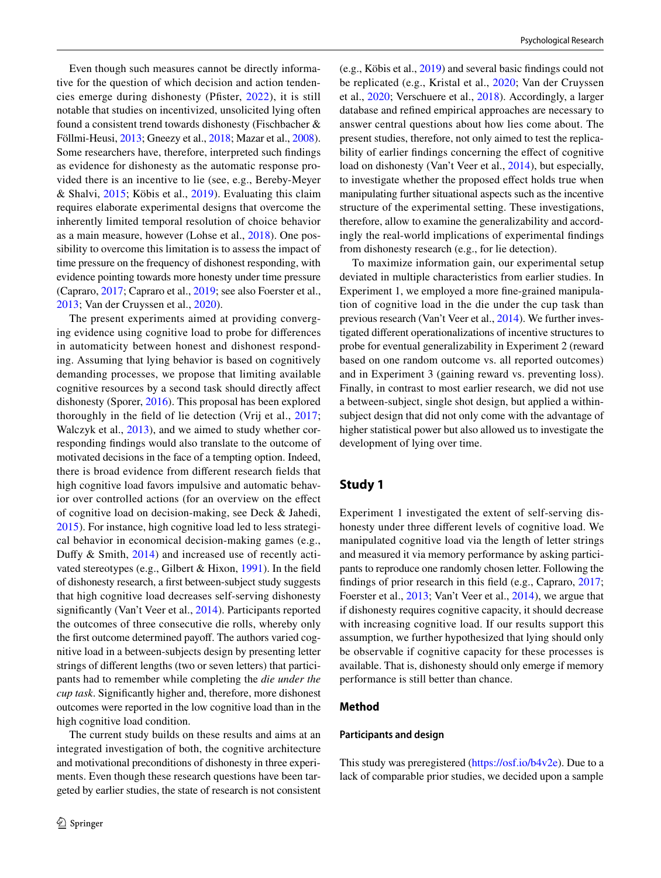Even though such measures cannot be directly informative for the question of which decision and action tendencies emerge during dishonesty (Pfster, [2022\)](#page-17-5), it is still notable that studies on incentivized, unsolicited lying often found a consistent trend towards dishonesty (Fischbacher & Föllmi-Heusi, [2013;](#page-16-5) Gneezy et al., [2018](#page-17-6); Mazar et al., [2008](#page-17-7)). Some researchers have, therefore, interpreted such fndings as evidence for dishonesty as the automatic response provided there is an incentive to lie (see, e.g., Bereby-Meyer & Shalvi, [2015;](#page-16-7) Köbis et al., [2019\)](#page-17-8). Evaluating this claim requires elaborate experimental designs that overcome the inherently limited temporal resolution of choice behavior as a main measure, however (Lohse et al., [2018\)](#page-17-9). One possibility to overcome this limitation is to assess the impact of time pressure on the frequency of dishonest responding, with evidence pointing towards more honesty under time pressure (Capraro, [2017](#page-16-8); Capraro et al., [2019](#page-16-9); see also Foerster et al., [2013](#page-16-6); Van der Cruyssen et al., [2020](#page-17-10)).

The present experiments aimed at providing converging evidence using cognitive load to probe for diferences in automaticity between honest and dishonest responding. Assuming that lying behavior is based on cognitively demanding processes, we propose that limiting available cognitive resources by a second task should directly afect dishonesty (Sporer, [2016](#page-17-11)). This proposal has been explored thoroughly in the feld of lie detection (Vrij et al., [2017](#page-18-0); Walczyk et al., [2013\)](#page-18-1), and we aimed to study whether corresponding fndings would also translate to the outcome of motivated decisions in the face of a tempting option. Indeed, there is broad evidence from diferent research felds that high cognitive load favors impulsive and automatic behavior over controlled actions (for an overview on the efect of cognitive load on decision-making, see Deck & Jahedi, [2015](#page-16-10)). For instance, high cognitive load led to less strategical behavior in economical decision-making games (e.g., Dufy & Smith, [2014\)](#page-16-11) and increased use of recently activated stereotypes (e.g., Gilbert & Hixon, [1991](#page-17-12)). In the feld of dishonesty research, a frst between-subject study suggests that high cognitive load decreases self-serving dishonesty signifcantly (Van't Veer et al., [2014\)](#page-17-13). Participants reported the outcomes of three consecutive die rolls, whereby only the first outcome determined payoff. The authors varied cognitive load in a between-subjects design by presenting letter strings of diferent lengths (two or seven letters) that participants had to remember while completing the *die under the cup task*. Signifcantly higher and, therefore, more dishonest outcomes were reported in the low cognitive load than in the high cognitive load condition.

The current study builds on these results and aims at an integrated investigation of both, the cognitive architecture and motivational preconditions of dishonesty in three experiments. Even though these research questions have been targeted by earlier studies, the state of research is not consistent (e.g., Köbis et al., [2019\)](#page-17-8) and several basic fndings could not be replicated (e.g., Kristal et al., [2020;](#page-17-14) Van der Cruyssen et al., [2020](#page-17-10); Verschuere et al., [2018](#page-17-15)). Accordingly, a larger database and refned empirical approaches are necessary to answer central questions about how lies come about. The present studies, therefore, not only aimed to test the replicability of earlier findings concerning the effect of cognitive load on dishonesty (Van't Veer et al., [2014](#page-17-13)), but especially, to investigate whether the proposed efect holds true when manipulating further situational aspects such as the incentive structure of the experimental setting. These investigations, therefore, allow to examine the generalizability and accordingly the real-world implications of experimental fndings from dishonesty research (e.g., for lie detection).

To maximize information gain, our experimental setup deviated in multiple characteristics from earlier studies. In Experiment 1, we employed a more fne-grained manipulation of cognitive load in the die under the cup task than previous research (Van't Veer et al., [2014\)](#page-17-13). We further investigated diferent operationalizations of incentive structures to probe for eventual generalizability in Experiment 2 (reward based on one random outcome vs. all reported outcomes) and in Experiment 3 (gaining reward vs. preventing loss). Finally, in contrast to most earlier research, we did not use a between-subject, single shot design, but applied a withinsubject design that did not only come with the advantage of higher statistical power but also allowed us to investigate the development of lying over time.

# **Study 1**

Experiment 1 investigated the extent of self-serving dishonesty under three diferent levels of cognitive load. We manipulated cognitive load via the length of letter strings and measured it via memory performance by asking participants to reproduce one randomly chosen letter. Following the fndings of prior research in this feld (e.g., Capraro, [2017](#page-16-8); Foerster et al., [2013](#page-16-6); Van't Veer et al., [2014\)](#page-17-13), we argue that if dishonesty requires cognitive capacity, it should decrease with increasing cognitive load. If our results support this assumption, we further hypothesized that lying should only be observable if cognitive capacity for these processes is available. That is, dishonesty should only emerge if memory performance is still better than chance.

#### **Method**

### **Participants and design**

This study was preregistered [\(https://osf.io/b4v2e\)](https://osf.io/b4v2e). Due to a lack of comparable prior studies, we decided upon a sample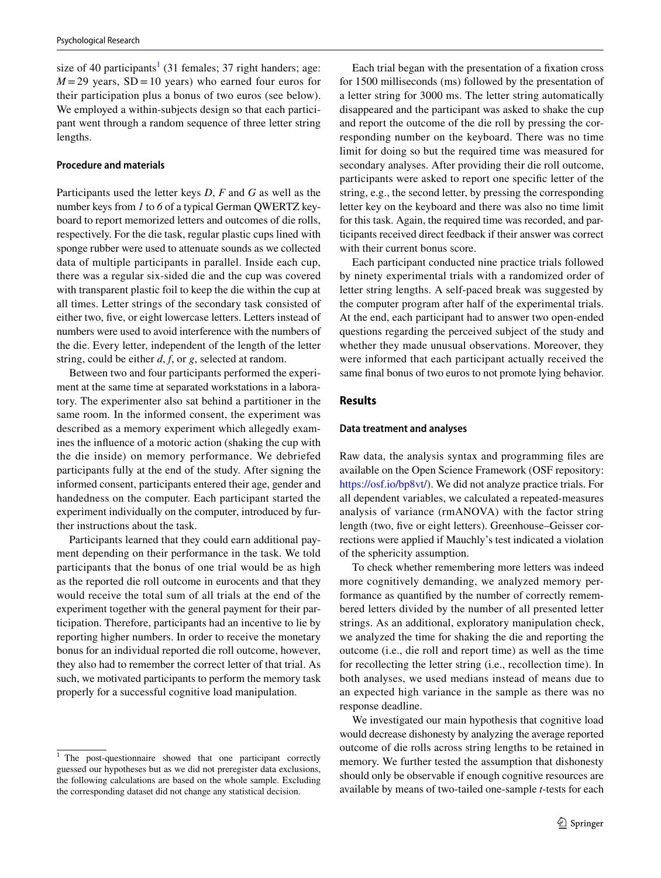size of 40 participants<sup>[1](#page-2-0)</sup> (31 females; 37 right handers; age:  $M = 29$  years,  $SD = 10$  years) who earned four euros for their participation plus a bonus of two euros (see below). We employed a within-subjects design so that each participant went through a random sequence of three letter string lengths.

#### **Procedure and materials**

Participants used the letter keys *D*, *F* and *G* as well as the number keys from *1* to *6* of a typical German QWERTZ keyboard to report memorized letters and outcomes of die rolls, respectively. For the die task, regular plastic cups lined with sponge rubber were used to attenuate sounds as we collected data of multiple participants in parallel. Inside each cup, there was a regular six-sided die and the cup was covered with transparent plastic foil to keep the die within the cup at all times. Letter strings of the secondary task consisted of either two, fve, or eight lowercase letters. Letters instead of numbers were used to avoid interference with the numbers of the die. Every letter, independent of the length of the letter string, could be either *d*, *f*, or *g*, selected at random.

Between two and four participants performed the experiment at the same time at separated workstations in a laboratory. The experimenter also sat behind a partitioner in the same room. In the informed consent, the experiment was described as a memory experiment which allegedly examines the infuence of a motoric action (shaking the cup with the die inside) on memory performance. We debriefed participants fully at the end of the study. After signing the informed consent, participants entered their age, gender and handedness on the computer. Each participant started the experiment individually on the computer, introduced by further instructions about the task.

Participants learned that they could earn additional payment depending on their performance in the task. We told participants that the bonus of one trial would be as high as the reported die roll outcome in eurocents and that they would receive the total sum of all trials at the end of the experiment together with the general payment for their participation. Therefore, participants had an incentive to lie by reporting higher numbers. In order to receive the monetary bonus for an individual reported die roll outcome, however, they also had to remember the correct letter of that trial. As such, we motivated participants to perform the memory task properly for a successful cognitive load manipulation.

Each trial began with the presentation of a fxation cross for 1500 milliseconds (ms) followed by the presentation of a letter string for 3000 ms. The letter string automatically disappeared and the participant was asked to shake the cup and report the outcome of the die roll by pressing the corresponding number on the keyboard. There was no time limit for doing so but the required time was measured for secondary analyses. After providing their die roll outcome, participants were asked to report one specifc letter of the string, e.g., the second letter, by pressing the corresponding letter key on the keyboard and there was also no time limit for this task. Again, the required time was recorded, and participants received direct feedback if their answer was correct with their current bonus score.

Each participant conducted nine practice trials followed by ninety experimental trials with a randomized order of letter string lengths. A self-paced break was suggested by the computer program after half of the experimental trials. At the end, each participant had to answer two open-ended questions regarding the perceived subject of the study and whether they made unusual observations. Moreover, they were informed that each participant actually received the same fnal bonus of two euros to not promote lying behavior.

#### **Results**

#### **Data treatment and analyses**

Raw data, the analysis syntax and programming fles are available on the Open Science Framework (OSF repository: [https://osf.io/bp8vt/\)](https://osf.io/bp8vt/). We did not analyze practice trials. For all dependent variables, we calculated a repeated-measures analysis of variance (rmANOVA) with the factor string length (two, fve or eight letters). Greenhouse–Geisser corrections were applied if Mauchly's test indicated a violation of the sphericity assumption.

To check whether remembering more letters was indeed more cognitively demanding, we analyzed memory performance as quantifed by the number of correctly remembered letters divided by the number of all presented letter strings. As an additional, exploratory manipulation check, we analyzed the time for shaking the die and reporting the outcome (i.e., die roll and report time) as well as the time for recollecting the letter string (i.e., recollection time). In both analyses, we used medians instead of means due to an expected high variance in the sample as there was no response deadline.

We investigated our main hypothesis that cognitive load would decrease dishonesty by analyzing the average reported outcome of die rolls across string lengths to be retained in memory. We further tested the assumption that dishonesty should only be observable if enough cognitive resources are available by means of two-tailed one-sample *t*-tests for each

<span id="page-2-0"></span><sup>&</sup>lt;sup>1</sup> The post-questionnaire showed that one participant correctly guessed our hypotheses but as we did not preregister data exclusions, the following calculations are based on the whole sample. Excluding the corresponding dataset did not change any statistical decision.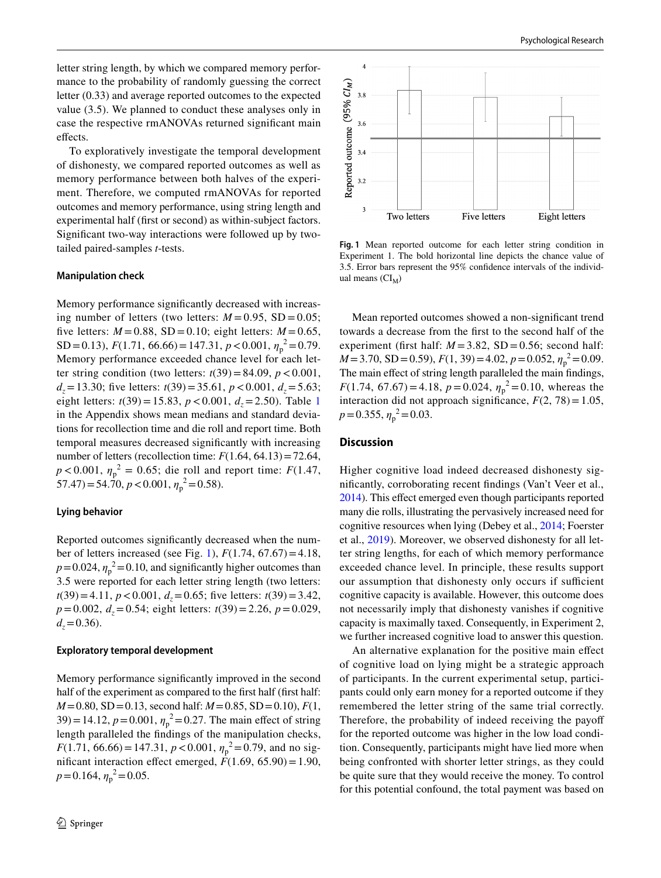letter string length, by which we compared memory performance to the probability of randomly guessing the correct letter (0.33) and average reported outcomes to the expected value (3.5). We planned to conduct these analyses only in case the respective rmANOVAs returned signifcant main effects.

To exploratively investigate the temporal development of dishonesty, we compared reported outcomes as well as memory performance between both halves of the experiment. Therefore, we computed rmANOVAs for reported outcomes and memory performance, using string length and experimental half (frst or second) as within-subject factors. Signifcant two-way interactions were followed up by twotailed paired-samples *t*-tests.

#### **Manipulation check**

Memory performance signifcantly decreased with increasing number of letters (two letters:  $M = 0.95$ , SD = 0.05; five letters:  $M = 0.88$ , SD = 0.10; eight letters:  $M = 0.65$ , SD = 0.13),  $F(1.71, 66.66) = 147.31, p < 0.001, \eta_p^2 = 0.79$ . Memory performance exceeded chance level for each letter string condition (two letters:  $t(39) = 84.09$ ,  $p < 0.001$ , *d<sub>z</sub>* = 13.30; five letters: *t*(39) = 35.61, *p* < 0.001, *d<sub>z</sub>* = 5.63; eight letters:  $t(39) = 15.83$  $t(39) = 15.83$  $t(39) = 15.83$ ,  $p < 0.001$ ,  $d<sub>z</sub> = 2.50$ ). Table 1 in the Appendix shows mean medians and standard deviations for recollection time and die roll and report time. Both temporal measures decreased signifcantly with increasing number of letters (recollection time:  $F(1.64, 64.13) = 72.64$ ,  $p < 0.001$ ,  $\eta_p^2 = 0.65$ ; die roll and report time: *F*(1.47,  $57.47$ ) = 54.70,  $p < 0.001$ ,  $\eta_p^2$  = 0.58).

#### **Lying behavior**

Reported outcomes signifcantly decreased when the number of letters increased (see Fig. [1\)](#page-3-0), *F*(1.74, 67.67)=4.18,  $p = 0.024$ ,  $\eta_p^2 = 0.10$ , and significantly higher outcomes than 3.5 were reported for each letter string length (two letters:  $t(39) = 4.11$ ,  $p < 0.001$ ,  $d<sub>z</sub> = 0.65$ ; five letters:  $t(39) = 3.42$ ,  $p=0.002$ ,  $d<sub>z</sub>=0.54$ ; eight letters:  $t(39)=2.26$ ,  $p=0.029$ ,  $d_z = 0.36$ .

#### **Exploratory temporal development**

Memory performance signifcantly improved in the second half of the experiment as compared to the first half (first half: *M*=0.80, SD=0.13, second half: *M*=0.85, SD=0.10), *F*(1, 39) = 14.12,  $p = 0.001$ ,  $\eta_p^2 = 0.27$ . The main effect of string length paralleled the fndings of the manipulation checks, *F*(1.71, 66.66) = 147.31, *p* < 0.001,  $\eta_p^2$  = 0.79, and no significant interaction effect emerged,  $\vec{F}(1.69, 65.90) = 1.90$ ,  $p = 0.164$ ,  $\eta_p^2 = 0.05$ .



<span id="page-3-0"></span>**Fig. 1** Mean reported outcome for each letter string condition in Experiment 1. The bold horizontal line depicts the chance value of 3.5. Error bars represent the 95% confdence intervals of the individual means  $(Cl_M)$ 

Mean reported outcomes showed a non-signifcant trend towards a decrease from the frst to the second half of the experiment (first half:  $M = 3.82$ , SD = 0.56; second half:  $M = 3.70$ , SD = 0.59),  $F(1, 39) = 4.02$ ,  $p = 0.052$ ,  $\eta_p^2 = 0.09$ . The main effect of string length paralleled the main findings, *F*(1.74, 67.67) = 4.18,  $p = 0.024$ ,  $\eta_p^2 = 0.10$ , whereas the interaction did not approach significance,  $F(2, 78) = 1.05$ ,  $p = 0.355$ ,  $\eta_p^2 = 0.03$ .

### **Discussion**

Higher cognitive load indeed decreased dishonesty signifcantly, corroborating recent fndings (Van't Veer et al., [2014\)](#page-17-13). This efect emerged even though participants reported many die rolls, illustrating the pervasively increased need for cognitive resources when lying (Debey et al., [2014;](#page-16-0) Foerster et al., [2019](#page-16-3)). Moreover, we observed dishonesty for all letter string lengths, for each of which memory performance exceeded chance level. In principle, these results support our assumption that dishonesty only occurs if sufficient cognitive capacity is available. However, this outcome does not necessarily imply that dishonesty vanishes if cognitive capacity is maximally taxed. Consequently, in Experiment 2, we further increased cognitive load to answer this question.

An alternative explanation for the positive main efect of cognitive load on lying might be a strategic approach of participants. In the current experimental setup, participants could only earn money for a reported outcome if they remembered the letter string of the same trial correctly. Therefore, the probability of indeed receiving the payof for the reported outcome was higher in the low load condition. Consequently, participants might have lied more when being confronted with shorter letter strings, as they could be quite sure that they would receive the money. To control for this potential confound, the total payment was based on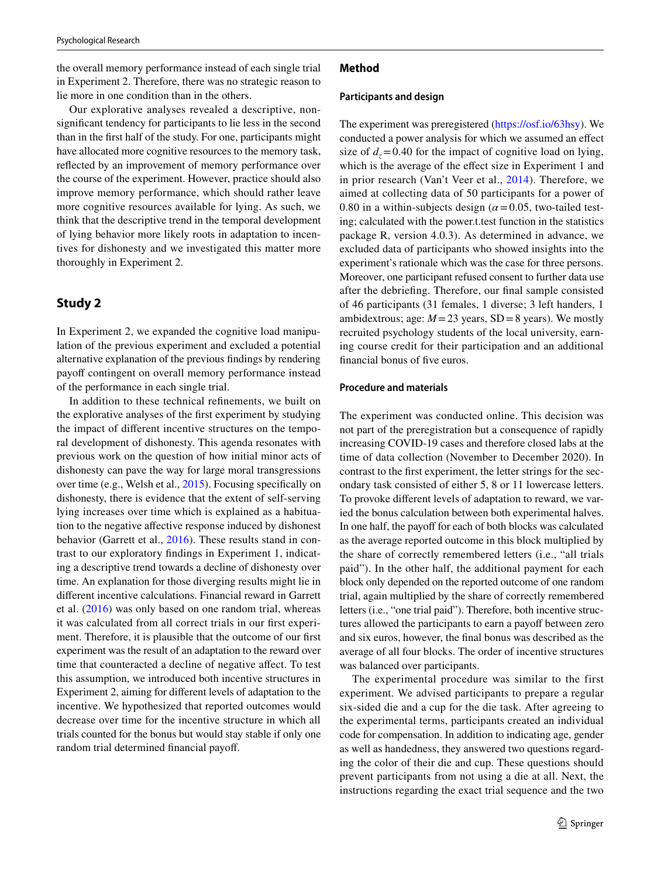the overall memory performance instead of each single trial in Experiment 2. Therefore, there was no strategic reason to lie more in one condition than in the others.

Our explorative analyses revealed a descriptive, nonsignifcant tendency for participants to lie less in the second than in the frst half of the study. For one, participants might have allocated more cognitive resources to the memory task, refected by an improvement of memory performance over the course of the experiment. However, practice should also improve memory performance, which should rather leave more cognitive resources available for lying. As such, we think that the descriptive trend in the temporal development of lying behavior more likely roots in adaptation to incentives for dishonesty and we investigated this matter more thoroughly in Experiment 2.

# **Study 2**

In Experiment 2, we expanded the cognitive load manipulation of the previous experiment and excluded a potential alternative explanation of the previous fndings by rendering payoff contingent on overall memory performance instead of the performance in each single trial.

In addition to these technical refnements, we built on the explorative analyses of the frst experiment by studying the impact of diferent incentive structures on the temporal development of dishonesty. This agenda resonates with previous work on the question of how initial minor acts of dishonesty can pave the way for large moral transgressions over time (e.g., Welsh et al., [2015](#page-18-2)). Focusing specifcally on dishonesty, there is evidence that the extent of self-serving lying increases over time which is explained as a habituation to the negative afective response induced by dishonest behavior (Garrett et al., [2016](#page-17-16)). These results stand in contrast to our exploratory fndings in Experiment 1, indicating a descriptive trend towards a decline of dishonesty over time. An explanation for those diverging results might lie in diferent incentive calculations. Financial reward in Garrett et al. [\(2016\)](#page-17-16) was only based on one random trial, whereas it was calculated from all correct trials in our frst experiment. Therefore, it is plausible that the outcome of our frst experiment was the result of an adaptation to the reward over time that counteracted a decline of negative affect. To test this assumption, we introduced both incentive structures in Experiment 2, aiming for diferent levels of adaptation to the incentive. We hypothesized that reported outcomes would decrease over time for the incentive structure in which all trials counted for the bonus but would stay stable if only one random trial determined fnancial payof.

### **Method**

#### **Participants and design**

The experiment was preregistered [\(https://osf.io/63hsy](https://osf.io/63hsy)). We conducted a power analysis for which we assumed an efect size of  $d_z = 0.40$  for the impact of cognitive load on lying, which is the average of the effect size in Experiment 1 and in prior research (Van't Veer et al., [2014](#page-17-13)). Therefore, we aimed at collecting data of 50 participants for a power of 0.80 in a within-subjects design ( $\alpha$  = 0.05, two-tailed testing; calculated with the power.t.test function in the statistics package R, version 4.0.3). As determined in advance, we excluded data of participants who showed insights into the experiment's rationale which was the case for three persons. Moreover, one participant refused consent to further data use after the debriefng. Therefore, our fnal sample consisted of 46 participants (31 females, 1 diverse; 3 left handers, 1 ambidextrous; age:  $M = 23$  years, SD = 8 years). We mostly recruited psychology students of the local university, earning course credit for their participation and an additional fnancial bonus of fve euros.

### **Procedure and materials**

The experiment was conducted online. This decision was not part of the preregistration but a consequence of rapidly increasing COVID-19 cases and therefore closed labs at the time of data collection (November to December 2020). In contrast to the frst experiment, the letter strings for the secondary task consisted of either 5, 8 or 11 lowercase letters. To provoke diferent levels of adaptation to reward, we varied the bonus calculation between both experimental halves. In one half, the payoff for each of both blocks was calculated as the average reported outcome in this block multiplied by the share of correctly remembered letters (i.e., "all trials paid"). In the other half, the additional payment for each block only depended on the reported outcome of one random trial, again multiplied by the share of correctly remembered letters (i.e., "one trial paid"). Therefore, both incentive structures allowed the participants to earn a payoff between zero and six euros, however, the fnal bonus was described as the average of all four blocks. The order of incentive structures was balanced over participants.

The experimental procedure was similar to the first experiment. We advised participants to prepare a regular six-sided die and a cup for the die task. After agreeing to the experimental terms, participants created an individual code for compensation. In addition to indicating age, gender as well as handedness, they answered two questions regarding the color of their die and cup. These questions should prevent participants from not using a die at all. Next, the instructions regarding the exact trial sequence and the two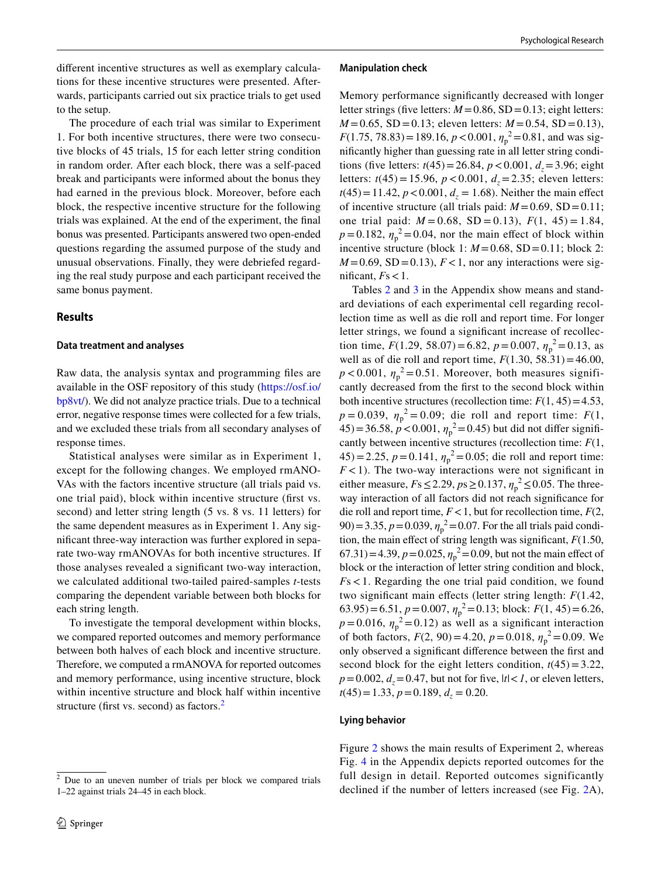diferent incentive structures as well as exemplary calculations for these incentive structures were presented. Afterwards, participants carried out six practice trials to get used to the setup.

The procedure of each trial was similar to Experiment 1. For both incentive structures, there were two consecutive blocks of 45 trials, 15 for each letter string condition in random order. After each block, there was a self-paced break and participants were informed about the bonus they had earned in the previous block. Moreover, before each block, the respective incentive structure for the following trials was explained. At the end of the experiment, the fnal bonus was presented. Participants answered two open-ended questions regarding the assumed purpose of the study and unusual observations. Finally, they were debriefed regarding the real study purpose and each participant received the same bonus payment.

## **Results**

### **Data treatment and analyses**

Raw data, the analysis syntax and programming fles are available in the OSF repository of this study [\(https://osf.io/](https://osf.io/bp8vt/) [bp8vt/](https://osf.io/bp8vt/)). We did not analyze practice trials. Due to a technical error, negative response times were collected for a few trials, and we excluded these trials from all secondary analyses of response times.

Statistical analyses were similar as in Experiment 1, except for the following changes. We employed rmANO-VAs with the factors incentive structure (all trials paid vs. one trial paid), block within incentive structure (frst vs. second) and letter string length (5 vs. 8 vs. 11 letters) for the same dependent measures as in Experiment 1. Any signifcant three-way interaction was further explored in separate two-way rmANOVAs for both incentive structures. If those analyses revealed a signifcant two-way interaction, we calculated additional two-tailed paired-samples *t*-tests comparing the dependent variable between both blocks for each string length.

To investigate the temporal development within blocks, we compared reported outcomes and memory performance between both halves of each block and incentive structure. Therefore, we computed a rmANOVA for reported outcomes and memory performance, using incentive structure, block within incentive structure and block half within incentive structure (first vs. second) as factors.<sup>[2](#page-5-0)</sup>

#### **Manipulation check**

Memory performance signifcantly decreased with longer letter strings (five letters:  $M = 0.86$ , SD = 0.13; eight letters:  $M = 0.65$ , SD = 0.13; eleven letters:  $M = 0.54$ , SD = 0.13), *F*(1.75, 78.83) = 189.16,  $p < 0.001$ ,  $\eta_p^2 = 0.81$ , and was signifcantly higher than guessing rate in all letter string conditions (five letters:  $t(45) = 26.84$ ,  $p < 0.001$ ,  $d<sub>z</sub> = 3.96$ ; eight letters:  $t(45) = 15.96$ ,  $p < 0.001$ ,  $d<sub>z</sub> = 2.35$ ; eleven letters:  $t(45) = 11.42$ ,  $p < 0.001$ ,  $d<sub>z</sub> = 1.68$ ). Neither the main effect of incentive structure (all trials paid:  $M = 0.69$ , SD = 0.11; one trial paid:  $M = 0.68$ , SD = 0.13),  $F(1, 45) = 1.84$ ,  $p = 0.182$ ,  $\eta_p^2 = 0.04$ , nor the main effect of block within incentive structure (block 1:  $M = 0.68$ , SD = 0.11; block 2:  $M = 0.69$ , SD = 0.13),  $F < 1$ , nor any interactions were significant,  $Fs < 1$ .

Tables [2](#page-13-0) and [3](#page-13-1) in the Appendix show means and standard deviations of each experimental cell regarding recollection time as well as die roll and report time. For longer letter strings, we found a signifcant increase of recollection time,  $F(1.29, 58.07) = 6.82$ ,  $p = 0.007$ ,  $\eta_p^2 = 0.13$ , as well as of die roll and report time,  $F(1.30, 58.31) = 46.00$ ,  $p < 0.001$ ,  $\eta_p^2 = 0.51$ . Moreover, both measures significantly decreased from the frst to the second block within both incentive structures (recollection time:  $F(1, 45) = 4.53$ , *p* = 0.039,  $\eta_p^2$  = 0.09; die roll and report time: *F*(1,  $(45) = 36.58, p < 0.001, \eta_p^2 = 0.45$  but did not differ significantly between incentive structures (recollection time: *F*(1,  $(45) = 2.25$ ,  $p = 0.141$ ,  $\eta_p^2 = 0.05$ ; die roll and report time:  $F$ <1). The two-way interactions were not significant in either measure,  $Fs \le 2.29$ ,  $ps \ge 0.137$ ,  $\eta_p^2 \le 0.05$ . The threeway interaction of all factors did not reach signifcance for die roll and report time,  $F < 1$ , but for recollection time,  $F(2)$ ,  $(90) = 3.35, p = 0.039, \eta_p^2 = 0.07$ . For the all trials paid condition, the main effect of string length was significant,  $F(1.50)$ , 67.31)=4.39,  $p = 0.025$ ,  $\eta_p^2 = 0.09$ , but not the main effect of block or the interaction of letter string condition and block, *F*s<1. Regarding the one trial paid condition, we found two signifcant main efects (letter string length: *F*(1.42, 63.95)=6.51,  $p = 0.007$ ,  $\eta_p^2 = 0.13$ ; block:  $F(1, 45) = 6.26$ ,  $p = 0.016$ ,  $\eta_p^2 = 0.12$ ) as well as a significant interaction of both factors,  $F(2, 90) = 4.20$ ,  $p = 0.018$ ,  $\eta_p^2 = 0.09$ . We only observed a signifcant diference between the frst and second block for the eight letters condition,  $t(45) = 3.22$ ,  $p=0.002$ ,  $d_z=0.47$ , but not for five,  $|t| < 1$ , or eleven letters,  $t(45)=1.33, p=0.189, d_z=0.20.$ 

#### **Lying behavior**

Figure [2](#page-6-0) shows the main results of Experiment 2, whereas Fig. [4](#page-13-2) in the Appendix depicts reported outcomes for the full design in detail. Reported outcomes significantly declined if the number of letters increased (see Fig. [2A](#page-6-0)),

<span id="page-5-0"></span><sup>2</sup> Due to an uneven number of trials per block we compared trials 1–22 against trials 24–45 in each block.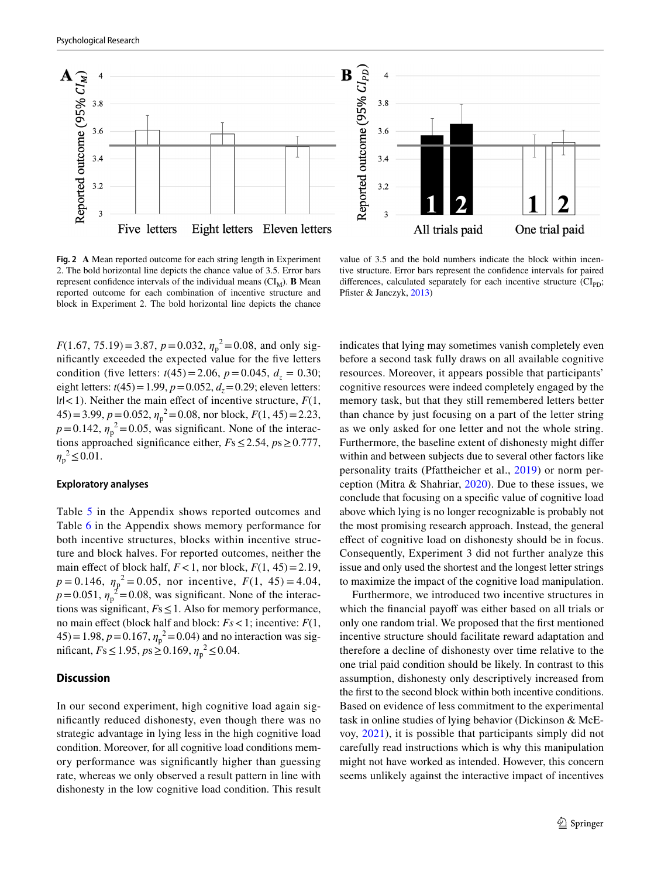



<span id="page-6-0"></span>**Fig. 2 A** Mean reported outcome for each string length in Experiment 2. The bold horizontal line depicts the chance value of 3.5. Error bars represent confidence intervals of the individual means  $(Cl_M)$ . **B** Mean reported outcome for each combination of incentive structure and block in Experiment 2. The bold horizontal line depicts the chance

value of 3.5 and the bold numbers indicate the block within incentive structure. Error bars represent the confdence intervals for paired differences, calculated separately for each incentive structure  $\text{CI}_{\text{PD}}$ ; Pfister & Janczyk, [2013](#page-17-19))

*F*(1.67, 75.19) = 3.87, *p* = 0.032,  $\eta_p^2$  = 0.08, and only signifcantly exceeded the expected value for the fve letters condition (five letters:  $t(45) = 2.06$ ,  $p = 0.045$ ,  $d<sub>z</sub> = 0.30$ ; eight letters:  $t(45) = 1.99$ ,  $p = 0.052$ ,  $d<sub>z</sub> = 0.29$ ; eleven letters:  $|t|$ <1). Neither the main effect of incentive structure,  $F(1, 1)$  $(45) = 3.99, p = 0.052, \eta_p^2 = 0.08$ , nor block,  $F(1, 45) = 2.23$ ,  $p = 0.142$ ,  $\eta_p^2 = 0.05$ , was significant. None of the interactions approached signifcance either, *F*s≤2.54, *p*s≥0.777,  $\eta_p^2 \le 0.01$ .

#### **Exploratory analyses**

Table [5](#page-13-3) in the Appendix shows reported outcomes and Table [6](#page-13-4) in the Appendix shows memory performance for both incentive structures, blocks within incentive structure and block halves. For reported outcomes, neither the main effect of block half,  $F < 1$ , nor block,  $F(1, 45) = 2.19$ ,  $p = 0.146$ ,  $\eta_p^2 = 0.05$ , nor incentive,  $F(1, 45) = 4.04$ ,  $p = 0.051$ ,  $\eta_p^2 = 0.08$ , was significant. None of the interactions was signifcant, *F*s≤1. Also for memory performance, no main efect (block half and block: *Fs*<1; incentive: *F*(1,  $(45) = 1.98, p = 0.167, \eta_p^2 = 0.04$  and no interaction was significant, *F*s ≤ 1.95, *p*s ≥ 0.169,  $\eta_p^2$  ≤ 0.04.

## **Discussion**

In our second experiment, high cognitive load again signifcantly reduced dishonesty, even though there was no strategic advantage in lying less in the high cognitive load condition. Moreover, for all cognitive load conditions memory performance was signifcantly higher than guessing rate, whereas we only observed a result pattern in line with dishonesty in the low cognitive load condition. This result

indicates that lying may sometimes vanish completely even before a second task fully draws on all available cognitive resources. Moreover, it appears possible that participants' cognitive resources were indeed completely engaged by the memory task, but that they still remembered letters better than chance by just focusing on a part of the letter string as we only asked for one letter and not the whole string. Furthermore, the baseline extent of dishonesty might difer within and between subjects due to several other factors like personality traits (Pfattheicher et al., [2019](#page-17-17)) or norm perception (Mitra & Shahriar, [2020](#page-17-18)). Due to these issues, we conclude that focusing on a specifc value of cognitive load above which lying is no longer recognizable is probably not the most promising research approach. Instead, the general efect of cognitive load on dishonesty should be in focus. Consequently, Experiment 3 did not further analyze this issue and only used the shortest and the longest letter strings to maximize the impact of the cognitive load manipulation.

Furthermore, we introduced two incentive structures in which the financial payoff was either based on all trials or only one random trial. We proposed that the frst mentioned incentive structure should facilitate reward adaptation and therefore a decline of dishonesty over time relative to the one trial paid condition should be likely. In contrast to this assumption, dishonesty only descriptively increased from the frst to the second block within both incentive conditions. Based on evidence of less commitment to the experimental task in online studies of lying behavior (Dickinson & McEvoy, [2021](#page-16-12)), it is possible that participants simply did not carefully read instructions which is why this manipulation might not have worked as intended. However, this concern seems unlikely against the interactive impact of incentives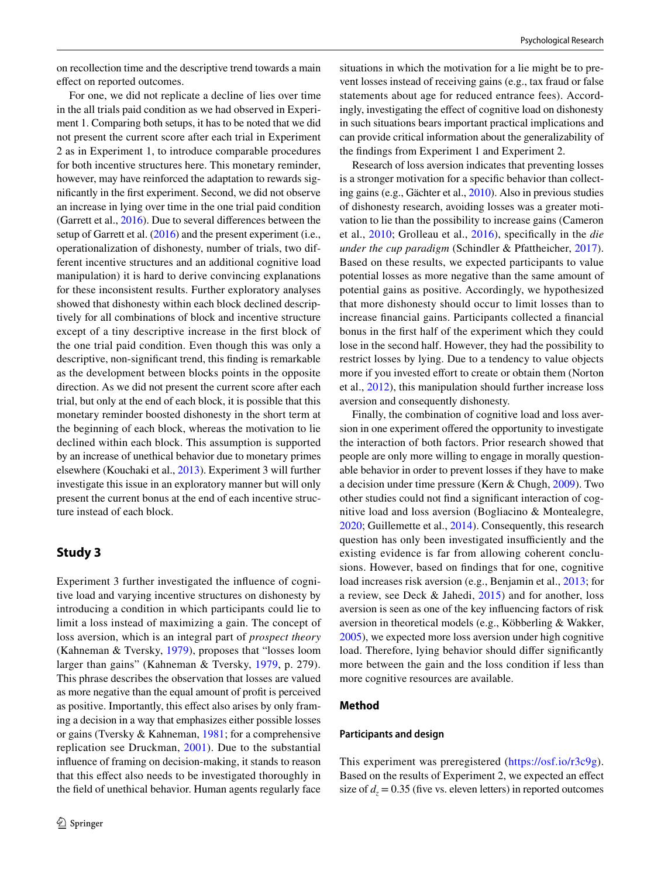For one, we did not replicate a decline of lies over time in the all trials paid condition as we had observed in Experiment 1. Comparing both setups, it has to be noted that we did not present the current score after each trial in Experiment 2 as in Experiment 1, to introduce comparable procedures for both incentive structures here. This monetary reminder, however, may have reinforced the adaptation to rewards signifcantly in the frst experiment. Second, we did not observe an increase in lying over time in the one trial paid condition (Garrett et al., [2016\)](#page-17-16). Due to several diferences between the setup of Garrett et al. ([2016](#page-17-16)) and the present experiment (i.e., operationalization of dishonesty, number of trials, two different incentive structures and an additional cognitive load manipulation) it is hard to derive convincing explanations for these inconsistent results. Further exploratory analyses showed that dishonesty within each block declined descriptively for all combinations of block and incentive structure except of a tiny descriptive increase in the frst block of the one trial paid condition. Even though this was only a descriptive, non-signifcant trend, this fnding is remarkable as the development between blocks points in the opposite direction. As we did not present the current score after each trial, but only at the end of each block, it is possible that this monetary reminder boosted dishonesty in the short term at the beginning of each block, whereas the motivation to lie declined within each block. This assumption is supported by an increase of unethical behavior due to monetary primes elsewhere (Kouchaki et al., [2013](#page-17-20)). Experiment 3 will further investigate this issue in an exploratory manner but will only present the current bonus at the end of each incentive structure instead of each block.

# **Study 3**

Experiment 3 further investigated the infuence of cognitive load and varying incentive structures on dishonesty by introducing a condition in which participants could lie to limit a loss instead of maximizing a gain. The concept of loss aversion, which is an integral part of *prospect theory* (Kahneman & Tversky, [1979](#page-17-21)), proposes that "losses loom larger than gains" (Kahneman & Tversky, [1979,](#page-17-21) p. 279). This phrase describes the observation that losses are valued as more negative than the equal amount of proft is perceived as positive. Importantly, this efect also arises by only framing a decision in a way that emphasizes either possible losses or gains (Tversky & Kahneman, [1981](#page-17-22); for a comprehensive replication see Druckman, [2001\)](#page-16-13). Due to the substantial infuence of framing on decision-making, it stands to reason that this efect also needs to be investigated thoroughly in the feld of unethical behavior. Human agents regularly face

situations in which the motivation for a lie might be to prevent losses instead of receiving gains (e.g., tax fraud or false statements about age for reduced entrance fees). Accordingly, investigating the efect of cognitive load on dishonesty in such situations bears important practical implications and can provide critical information about the generalizability of the fndings from Experiment 1 and Experiment 2.

Research of loss aversion indicates that preventing losses is a stronger motivation for a specifc behavior than collecting gains (e.g., Gächter et al., [2010](#page-16-14)). Also in previous studies of dishonesty research, avoiding losses was a greater motivation to lie than the possibility to increase gains (Cameron et al., [2010](#page-16-15); Grolleau et al., [2016](#page-17-23)), specifcally in the *die under the cup paradigm* (Schindler & Pfattheicher, [2017](#page-17-4)). Based on these results, we expected participants to value potential losses as more negative than the same amount of potential gains as positive. Accordingly, we hypothesized that more dishonesty should occur to limit losses than to increase fnancial gains. Participants collected a fnancial bonus in the frst half of the experiment which they could lose in the second half. However, they had the possibility to restrict losses by lying. Due to a tendency to value objects more if you invested effort to create or obtain them (Norton et al., [2012](#page-17-24)), this manipulation should further increase loss aversion and consequently dishonesty.

Finally, the combination of cognitive load and loss aversion in one experiment offered the opportunity to investigate the interaction of both factors. Prior research showed that people are only more willing to engage in morally questionable behavior in order to prevent losses if they have to make a decision under time pressure (Kern & Chugh, [2009](#page-17-25)). Two other studies could not fnd a signifcant interaction of cognitive load and loss aversion (Bogliacino & Montealegre, [2020](#page-16-16); Guillemette et al., [2014\)](#page-17-26). Consequently, this research question has only been investigated insufficiently and the existing evidence is far from allowing coherent conclusions. However, based on fndings that for one, cognitive load increases risk aversion (e.g., Benjamin et al., [2013;](#page-16-17) for a review, see Deck & Jahedi, [2015\)](#page-16-10) and for another, loss aversion is seen as one of the key infuencing factors of risk aversion in theoretical models (e.g., Köbberling & Wakker, [2005](#page-17-27)), we expected more loss aversion under high cognitive load. Therefore, lying behavior should difer signifcantly more between the gain and the loss condition if less than more cognitive resources are available.

# **Method**

#### **Participants and design**

This experiment was preregistered [\(https://osf.io/r3c9g](https://osf.io/r3c9g)). Based on the results of Experiment 2, we expected an efect size of  $d_z = 0.35$  (five vs. eleven letters) in reported outcomes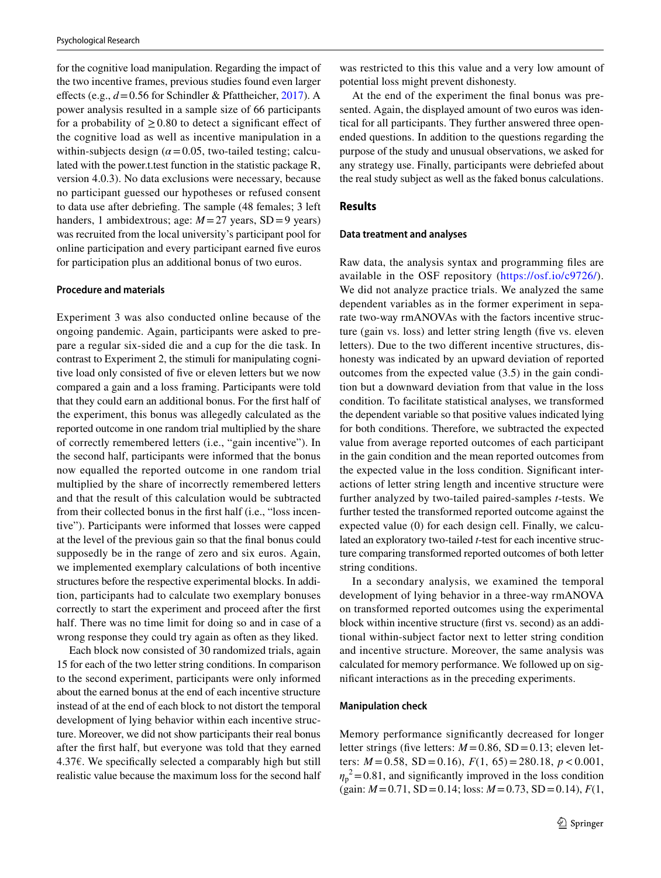for the cognitive load manipulation. Regarding the impact of the two incentive frames, previous studies found even larger efects (e.g., *d*=0.56 for Schindler & Pfattheicher, [2017\)](#page-17-4). A power analysis resulted in a sample size of 66 participants for a probability of  $\geq$  0.80 to detect a significant effect of the cognitive load as well as incentive manipulation in a within-subjects design  $(a=0.05,$  two-tailed testing; calculated with the power.t.test function in the statistic package R, version 4.0.3). No data exclusions were necessary, because no participant guessed our hypotheses or refused consent to data use after debriefng. The sample (48 females; 3 left handers, 1 ambidextrous; age:  $M=27$  years, SD = 9 years) was recruited from the local university's participant pool for online participation and every participant earned fve euros for participation plus an additional bonus of two euros.

#### **Procedure and materials**

Experiment 3 was also conducted online because of the ongoing pandemic. Again, participants were asked to prepare a regular six-sided die and a cup for the die task. In contrast to Experiment 2, the stimuli for manipulating cognitive load only consisted of fve or eleven letters but we now compared a gain and a loss framing. Participants were told that they could earn an additional bonus. For the frst half of the experiment, this bonus was allegedly calculated as the reported outcome in one random trial multiplied by the share of correctly remembered letters (i.e., "gain incentive"). In the second half, participants were informed that the bonus now equalled the reported outcome in one random trial multiplied by the share of incorrectly remembered letters and that the result of this calculation would be subtracted from their collected bonus in the frst half (i.e., "loss incentive"). Participants were informed that losses were capped at the level of the previous gain so that the fnal bonus could supposedly be in the range of zero and six euros. Again, we implemented exemplary calculations of both incentive structures before the respective experimental blocks. In addition, participants had to calculate two exemplary bonuses correctly to start the experiment and proceed after the frst half. There was no time limit for doing so and in case of a wrong response they could try again as often as they liked.

Each block now consisted of 30 randomized trials, again 15 for each of the two letter string conditions. In comparison to the second experiment, participants were only informed about the earned bonus at the end of each incentive structure instead of at the end of each block to not distort the temporal development of lying behavior within each incentive structure. Moreover, we did not show participants their real bonus after the frst half, but everyone was told that they earned 4.37€. We specifically selected a comparably high but still realistic value because the maximum loss for the second half

was restricted to this this value and a very low amount of potential loss might prevent dishonesty.

At the end of the experiment the fnal bonus was presented. Again, the displayed amount of two euros was identical for all participants. They further answered three openended questions. In addition to the questions regarding the purpose of the study and unusual observations, we asked for any strategy use. Finally, participants were debriefed about the real study subject as well as the faked bonus calculations.

#### **Results**

#### **Data treatment and analyses**

Raw data, the analysis syntax and programming fles are available in the OSF repository (<https://osf.io/c9726/>). We did not analyze practice trials. We analyzed the same dependent variables as in the former experiment in separate two-way rmANOVAs with the factors incentive structure (gain vs. loss) and letter string length (fve vs. eleven letters). Due to the two diferent incentive structures, dishonesty was indicated by an upward deviation of reported outcomes from the expected value (3.5) in the gain condition but a downward deviation from that value in the loss condition. To facilitate statistical analyses, we transformed the dependent variable so that positive values indicated lying for both conditions. Therefore, we subtracted the expected value from average reported outcomes of each participant in the gain condition and the mean reported outcomes from the expected value in the loss condition. Signifcant interactions of letter string length and incentive structure were further analyzed by two-tailed paired-samples *t*-tests. We further tested the transformed reported outcome against the expected value (0) for each design cell. Finally, we calculated an exploratory two-tailed *t*-test for each incentive structure comparing transformed reported outcomes of both letter string conditions.

In a secondary analysis, we examined the temporal development of lying behavior in a three-way rmANOVA on transformed reported outcomes using the experimental block within incentive structure (frst vs. second) as an additional within-subject factor next to letter string condition and incentive structure. Moreover, the same analysis was calculated for memory performance. We followed up on signifcant interactions as in the preceding experiments.

#### **Manipulation check**

Memory performance signifcantly decreased for longer letter strings (five letters:  $M = 0.86$ , SD = 0.13; eleven letters: *M* =0.58, SD =0.16), *F*(1, 65)=280.18, *p*<0.001,  $\eta_p^2$  = 0.81, and significantly improved in the loss condition (gain: *M*=0.71, SD=0.14; loss: *M*=0.73, SD=0.14), *F*(1,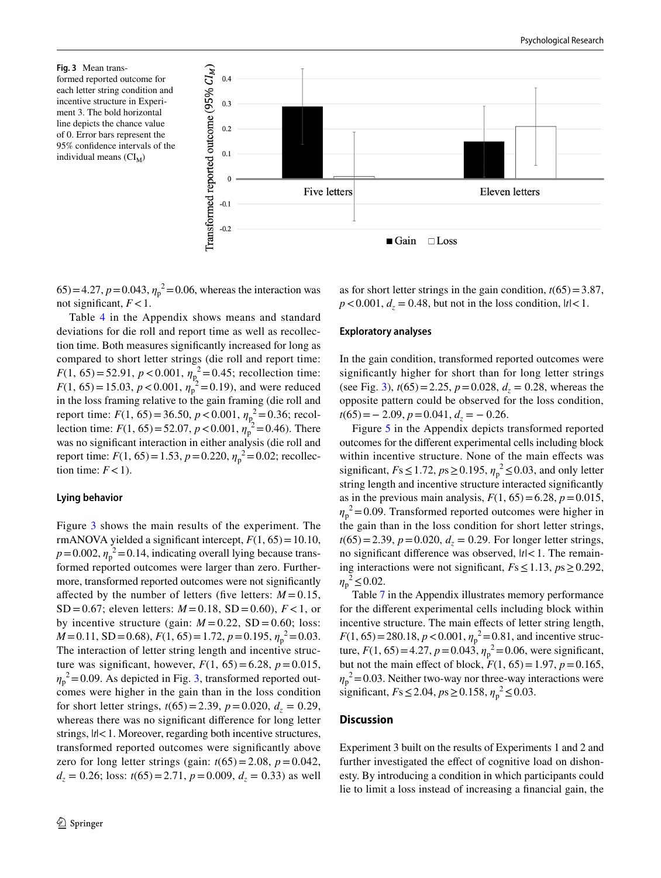<span id="page-9-0"></span>**Fig. 3** Mean transformed reported outcome for each letter string condition and incentive structure in Experiment 3. The bold horizontal line depicts the chance value of 0. Error bars represent the 95% confdence intervals of the individual means  $(Cl_M)$ 



 $(65) = 4.27$ ,  $p = 0.043$ ,  $\eta_p^2 = 0.06$ , whereas the interaction was not significant,  $F < 1$ .

Table [4](#page-13-5) in the Appendix shows means and standard deviations for die roll and report time as well as recollection time. Both measures signifcantly increased for long as compared to short letter strings (die roll and report time: *F*(1, 65) = 52.91, *p* < 0.001,  $\eta_p^2 = 0.45$ ; recollection time: *F*(1, 65) = 15.03, *p* < 0.001,  $\eta_p^2 = 0.19$ ), and were reduced in the loss framing relative to the gain framing (die roll and report time:  $F(1, 65) = 36.50, p < 0.001, \eta_{p}^{2} = 0.36$ ; recollection time:  $F(1, 65) = 52.07$ ,  $p < 0.001$ ,  $\eta_p^2 = 0.46$ ). There was no signifcant interaction in either analysis (die roll and report time:  $F(1, 65) = 1.53$ ,  $p = 0.220$ ,  $\eta_p^2 = 0.02$ ; recollection time:  $F < 1$ ).

### **Lying behavior**

Figure [3](#page-9-0) shows the main results of the experiment. The rmANOVA yielded a significant intercept,  $F(1, 65) = 10.10$ ,  $p = 0.002$ ,  $\eta_p^2 = 0.14$ , indicating overall lying because transformed reported outcomes were larger than zero. Furthermore, transformed reported outcomes were not signifcantly affected by the number of letters (five letters:  $M = 0.15$ , SD = 0.67; eleven letters:  $M = 0.18$ , SD = 0.60),  $F < 1$ , or by incentive structure (gain:  $M = 0.22$ , SD = 0.60; loss: *M*=0.11, *SD*=0.68), *F*(1, 65)=1.72, *p*=0.195,  $η<sub>p</sub><sup>2</sup> = 0.03$ . The interaction of letter string length and incentive structure was significant, however,  $F(1, 65) = 6.28$ ,  $p = 0.015$ ,  $\eta_p^2$  = 0.09. As depicted in Fig. [3,](#page-9-0) transformed reported outcomes were higher in the gain than in the loss condition for short letter strings,  $t(65) = 2.39$ ,  $p = 0.020$ ,  $d<sub>z</sub> = 0.29$ , whereas there was no signifcant diference for long letter strings,  $|t|$ <1. Moreover, regarding both incentive structures, transformed reported outcomes were signifcantly above zero for long letter strings (gain:  $t(65) = 2.08$ ,  $p = 0.042$ ,  $d<sub>z</sub> = 0.26$ ; loss:  $t(65) = 2.71$ ,  $p = 0.009$ ,  $d<sub>z</sub> = 0.33$ ) as well

as for short letter strings in the gain condition,  $t(65) = 3.87$ ,  $p < 0.001$ ,  $d<sub>z</sub> = 0.48$ , but not in the loss condition,  $|t| < 1$ .

#### **Exploratory analyses**

In the gain condition, transformed reported outcomes were signifcantly higher for short than for long letter strings (see Fig. [3](#page-9-0)),  $t(65) = 2.25$ ,  $p = 0.028$ ,  $d<sub>z</sub> = 0.28$ , whereas the opposite pattern could be observed for the loss condition, *t*(65) = − 2.09, *p* = 0.041, *d<sub>z</sub>* = − 0.26.

Figure [5](#page-14-0) in the Appendix depicts transformed reported outcomes for the diferent experimental cells including block within incentive structure. None of the main efects was significant,  $Fs \le 1.72$ ,  $ps \ge 0.195$ ,  $\eta_p^2 \le 0.03$ , and only letter string length and incentive structure interacted signifcantly as in the previous main analysis,  $F(1, 65) = 6.28$ ,  $p = 0.015$ ,  $\eta_p^2$  = 0.09. Transformed reported outcomes were higher in the gain than in the loss condition for short letter strings,  $t(65) = 2.39$ ,  $p = 0.020$ ,  $d<sub>z</sub> = 0.29$ . For longer letter strings, no signifcant diference was observed, |*t|*<1. The remaining interactions were not signifcant, *F*s≤1.13, *p*s≥0.292,  $\eta_p^2 \le 0.02$ .

Table [7](#page-14-1) in the Appendix illustrates memory performance for the diferent experimental cells including block within incentive structure. The main effects of letter string length,  $F(1, 65) = 280.18, p < 0.001, \eta_p^2 = 0.81$ , and incentive structure,  $F(1, 65) = 4.27$ ,  $p = 0.043$ ,  $\eta_p^2 = 0.06$ , were significant, but not the main effect of block,  $F(1, 65) = 1.97$ ,  $p = 0.165$ ,  $\eta_p^2$  = 0.03. Neither two-way nor three-way interactions were significant,  $Fs \le 2.04$ ,  $ps \ge 0.158$ ,  $\eta_p^2 \le 0.03$ .

# **Discussion**

Experiment 3 built on the results of Experiments 1 and 2 and further investigated the effect of cognitive load on dishonesty. By introducing a condition in which participants could lie to limit a loss instead of increasing a fnancial gain, the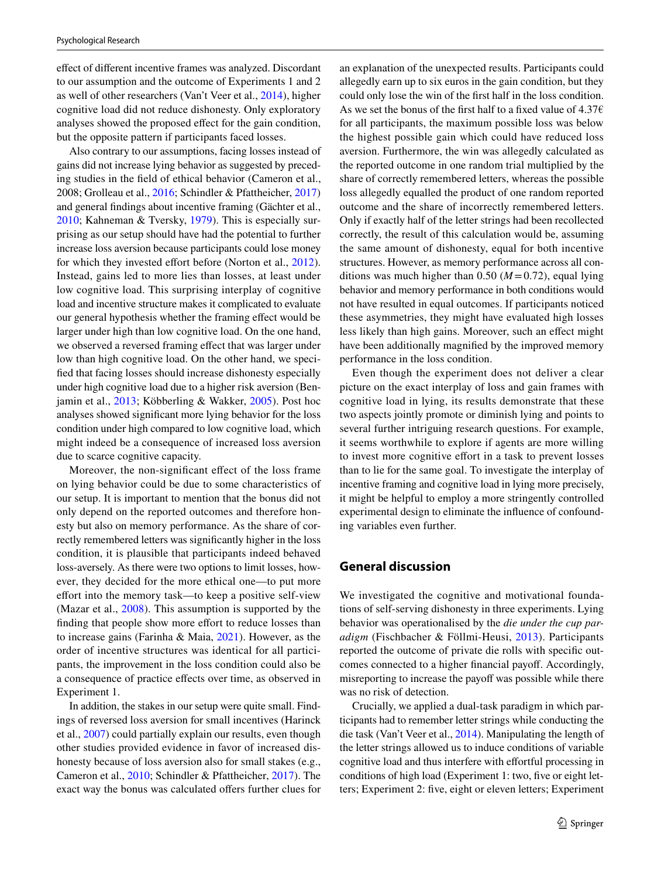efect of diferent incentive frames was analyzed. Discordant to our assumption and the outcome of Experiments 1 and 2 as well of other researchers (Van't Veer et al., [2014](#page-17-13)), higher cognitive load did not reduce dishonesty. Only exploratory analyses showed the proposed efect for the gain condition, but the opposite pattern if participants faced losses.

Also contrary to our assumptions, facing losses instead of gains did not increase lying behavior as suggested by preceding studies in the feld of ethical behavior (Cameron et al., 2008; Grolleau et al., [2016](#page-17-23); Schindler & Pfattheicher, [2017\)](#page-17-4) and general fndings about incentive framing (Gächter et al., [2010](#page-16-14); Kahneman & Tversky, [1979](#page-17-21)). This is especially surprising as our setup should have had the potential to further increase loss aversion because participants could lose money for which they invested effort before (Norton et al., [2012](#page-17-24)). Instead, gains led to more lies than losses, at least under low cognitive load. This surprising interplay of cognitive load and incentive structure makes it complicated to evaluate our general hypothesis whether the framing efect would be larger under high than low cognitive load. On the one hand, we observed a reversed framing efect that was larger under low than high cognitive load. On the other hand, we specifed that facing losses should increase dishonesty especially under high cognitive load due to a higher risk aversion (Benjamin et al., [2013](#page-16-17); Köbberling & Wakker, [2005](#page-17-27)). Post hoc analyses showed signifcant more lying behavior for the loss condition under high compared to low cognitive load, which might indeed be a consequence of increased loss aversion due to scarce cognitive capacity.

Moreover, the non-signifcant efect of the loss frame on lying behavior could be due to some characteristics of our setup. It is important to mention that the bonus did not only depend on the reported outcomes and therefore honesty but also on memory performance. As the share of correctly remembered letters was signifcantly higher in the loss condition, it is plausible that participants indeed behaved loss-aversely. As there were two options to limit losses, however, they decided for the more ethical one—to put more efort into the memory task—to keep a positive self-view (Mazar et al., [2008](#page-17-7)). This assumption is supported by the finding that people show more effort to reduce losses than to increase gains (Farinha & Maia, [2021\)](#page-16-18). However, as the order of incentive structures was identical for all participants, the improvement in the loss condition could also be a consequence of practice efects over time, as observed in Experiment 1.

In addition, the stakes in our setup were quite small. Findings of reversed loss aversion for small incentives (Harinck et al., [2007](#page-17-28)) could partially explain our results, even though other studies provided evidence in favor of increased dishonesty because of loss aversion also for small stakes (e.g., Cameron et al., [2010](#page-16-15); Schindler & Pfattheicher, [2017](#page-17-4)). The exact way the bonus was calculated offers further clues for an explanation of the unexpected results. Participants could allegedly earn up to six euros in the gain condition, but they could only lose the win of the frst half in the loss condition. As we set the bonus of the first half to a fixed value of  $4.376$ for all participants, the maximum possible loss was below the highest possible gain which could have reduced loss aversion. Furthermore, the win was allegedly calculated as the reported outcome in one random trial multiplied by the share of correctly remembered letters, whereas the possible loss allegedly equalled the product of one random reported outcome and the share of incorrectly remembered letters. Only if exactly half of the letter strings had been recollected correctly, the result of this calculation would be, assuming the same amount of dishonesty, equal for both incentive structures. However, as memory performance across all conditions was much higher than 0.50 ( $M = 0.72$ ), equal lying behavior and memory performance in both conditions would not have resulted in equal outcomes. If participants noticed these asymmetries, they might have evaluated high losses less likely than high gains. Moreover, such an efect might have been additionally magnifed by the improved memory performance in the loss condition.

Even though the experiment does not deliver a clear picture on the exact interplay of loss and gain frames with cognitive load in lying, its results demonstrate that these two aspects jointly promote or diminish lying and points to several further intriguing research questions. For example, it seems worthwhile to explore if agents are more willing to invest more cognitive effort in a task to prevent losses than to lie for the same goal. To investigate the interplay of incentive framing and cognitive load in lying more precisely, it might be helpful to employ a more stringently controlled experimental design to eliminate the infuence of confounding variables even further.

## **General discussion**

We investigated the cognitive and motivational foundations of self-serving dishonesty in three experiments. Lying behavior was operationalised by the *die under the cup paradigm* (Fischbacher & Föllmi-Heusi, [2013](#page-16-5)). Participants reported the outcome of private die rolls with specifc outcomes connected to a higher fnancial payof. Accordingly, misreporting to increase the payoff was possible while there was no risk of detection.

Crucially, we applied a dual-task paradigm in which participants had to remember letter strings while conducting the die task (Van't Veer et al., [2014](#page-17-13)). Manipulating the length of the letter strings allowed us to induce conditions of variable cognitive load and thus interfere with effortful processing in conditions of high load (Experiment 1: two, five or eight letters; Experiment 2: fve, eight or eleven letters; Experiment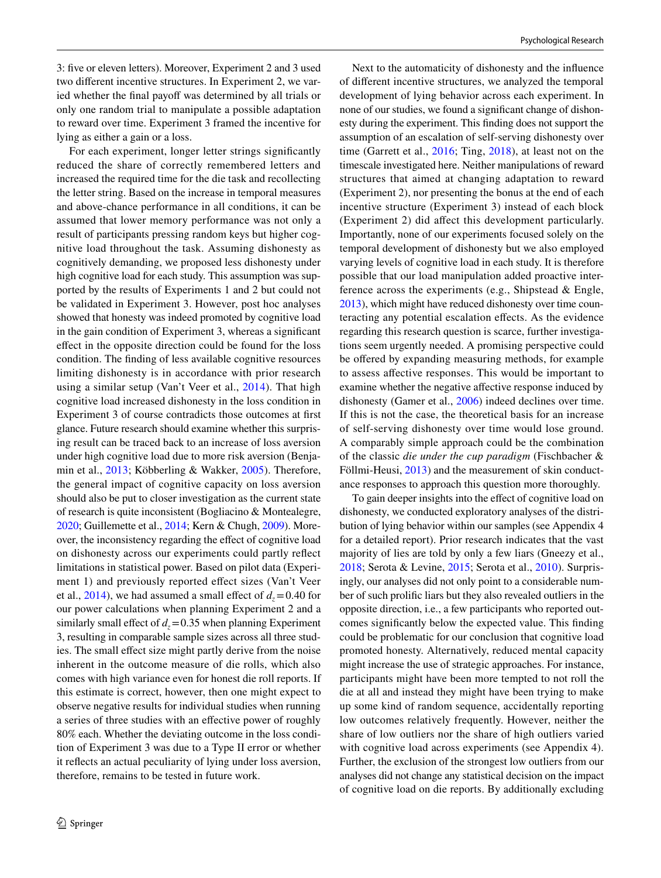3: fve or eleven letters). Moreover, Experiment 2 and 3 used two diferent incentive structures. In Experiment 2, we varied whether the final payoff was determined by all trials or only one random trial to manipulate a possible adaptation to reward over time. Experiment 3 framed the incentive for lying as either a gain or a loss.

For each experiment, longer letter strings signifcantly reduced the share of correctly remembered letters and increased the required time for the die task and recollecting the letter string. Based on the increase in temporal measures and above-chance performance in all conditions, it can be assumed that lower memory performance was not only a result of participants pressing random keys but higher cognitive load throughout the task. Assuming dishonesty as cognitively demanding, we proposed less dishonesty under high cognitive load for each study. This assumption was supported by the results of Experiments 1 and 2 but could not be validated in Experiment 3. However, post hoc analyses showed that honesty was indeed promoted by cognitive load in the gain condition of Experiment 3, whereas a signifcant efect in the opposite direction could be found for the loss condition. The fnding of less available cognitive resources limiting dishonesty is in accordance with prior research using a similar setup (Van't Veer et al., [2014\)](#page-17-13). That high cognitive load increased dishonesty in the loss condition in Experiment 3 of course contradicts those outcomes at frst glance. Future research should examine whether this surprising result can be traced back to an increase of loss aversion under high cognitive load due to more risk aversion (Benjamin et al., [2013;](#page-16-17) Köbberling & Wakker, [2005](#page-17-27)). Therefore, the general impact of cognitive capacity on loss aversion should also be put to closer investigation as the current state of research is quite inconsistent (Bogliacino & Montealegre, [2020;](#page-16-16) Guillemette et al., [2014](#page-17-26); Kern & Chugh, [2009](#page-17-25)). Moreover, the inconsistency regarding the efect of cognitive load on dishonesty across our experiments could partly refect limitations in statistical power. Based on pilot data (Experiment 1) and previously reported efect sizes (Van't Veer et al.,  $2014$ ), we had assumed a small effect of  $d<sub>z</sub> = 0.40$  for our power calculations when planning Experiment 2 and a similarly small effect of  $d<sub>z</sub> = 0.35$  when planning Experiment 3, resulting in comparable sample sizes across all three studies. The small efect size might partly derive from the noise inherent in the outcome measure of die rolls, which also comes with high variance even for honest die roll reports. If this estimate is correct, however, then one might expect to observe negative results for individual studies when running a series of three studies with an efective power of roughly 80% each. Whether the deviating outcome in the loss condition of Experiment 3 was due to a Type II error or whether it refects an actual peculiarity of lying under loss aversion, therefore, remains to be tested in future work.

Next to the automaticity of dishonesty and the infuence of diferent incentive structures, we analyzed the temporal development of lying behavior across each experiment. In none of our studies, we found a signifcant change of dishonesty during the experiment. This fnding does not support the assumption of an escalation of self-serving dishonesty over time (Garrett et al., [2016;](#page-17-16) Ting, [2018](#page-17-29)), at least not on the timescale investigated here. Neither manipulations of reward structures that aimed at changing adaptation to reward (Experiment 2), nor presenting the bonus at the end of each incentive structure (Experiment 3) instead of each block (Experiment 2) did afect this development particularly. Importantly, none of our experiments focused solely on the temporal development of dishonesty but we also employed varying levels of cognitive load in each study. It is therefore possible that our load manipulation added proactive interference across the experiments (e.g., Shipstead & Engle, [2013\)](#page-17-30), which might have reduced dishonesty over time counteracting any potential escalation efects. As the evidence regarding this research question is scarce, further investigations seem urgently needed. A promising perspective could be offered by expanding measuring methods, for example to assess afective responses. This would be important to examine whether the negative afective response induced by dishonesty (Gamer et al., [2006](#page-16-19)) indeed declines over time. If this is not the case, the theoretical basis for an increase of self-serving dishonesty over time would lose ground. A comparably simple approach could be the combination of the classic *die under the cup paradigm* (Fischbacher & Föllmi-Heusi, [2013](#page-16-5)) and the measurement of skin conductance responses to approach this question more thoroughly.

To gain deeper insights into the efect of cognitive load on dishonesty, we conducted exploratory analyses of the distribution of lying behavior within our samples (see Appendix 4 for a detailed report). Prior research indicates that the vast majority of lies are told by only a few liars (Gneezy et al., [2018](#page-17-6); Serota & Levine, [2015;](#page-17-31) Serota et al., [2010\)](#page-17-32). Surprisingly, our analyses did not only point to a considerable number of such prolifc liars but they also revealed outliers in the opposite direction, i.e., a few participants who reported outcomes signifcantly below the expected value. This fnding could be problematic for our conclusion that cognitive load promoted honesty. Alternatively, reduced mental capacity might increase the use of strategic approaches. For instance, participants might have been more tempted to not roll the die at all and instead they might have been trying to make up some kind of random sequence, accidentally reporting low outcomes relatively frequently. However, neither the share of low outliers nor the share of high outliers varied with cognitive load across experiments (see Appendix 4). Further, the exclusion of the strongest low outliers from our analyses did not change any statistical decision on the impact of cognitive load on die reports. By additionally excluding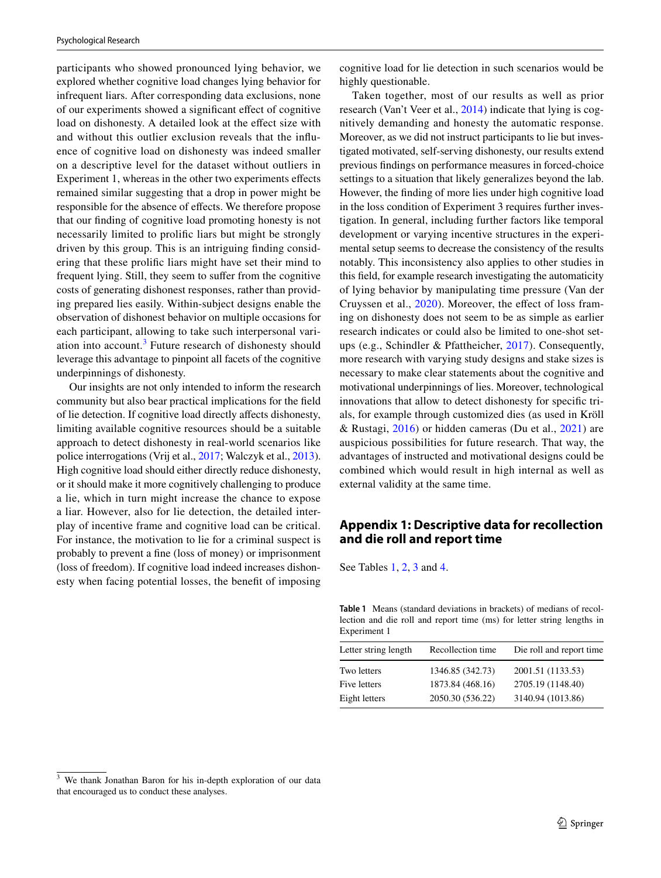participants who showed pronounced lying behavior, we explored whether cognitive load changes lying behavior for infrequent liars. After corresponding data exclusions, none of our experiments showed a signifcant efect of cognitive load on dishonesty. A detailed look at the effect size with and without this outlier exclusion reveals that the infuence of cognitive load on dishonesty was indeed smaller on a descriptive level for the dataset without outliers in Experiment 1, whereas in the other two experiments efects remained similar suggesting that a drop in power might be responsible for the absence of efects. We therefore propose that our fnding of cognitive load promoting honesty is not necessarily limited to prolifc liars but might be strongly driven by this group. This is an intriguing fnding considering that these prolifc liars might have set their mind to frequent lying. Still, they seem to sufer from the cognitive costs of generating dishonest responses, rather than providing prepared lies easily. Within-subject designs enable the observation of dishonest behavior on multiple occasions for each participant, allowing to take such interpersonal vari-ation into account.<sup>[3](#page-12-1)</sup> Future research of dishonesty should leverage this advantage to pinpoint all facets of the cognitive underpinnings of dishonesty.

Our insights are not only intended to inform the research community but also bear practical implications for the feld of lie detection. If cognitive load directly afects dishonesty, limiting available cognitive resources should be a suitable approach to detect dishonesty in real-world scenarios like police interrogations (Vrij et al., [2017](#page-18-0); Walczyk et al., [2013](#page-18-1)). High cognitive load should either directly reduce dishonesty, or it should make it more cognitively challenging to produce a lie, which in turn might increase the chance to expose a liar. However, also for lie detection, the detailed interplay of incentive frame and cognitive load can be critical. For instance, the motivation to lie for a criminal suspect is probably to prevent a fne (loss of money) or imprisonment (loss of freedom). If cognitive load indeed increases dishonesty when facing potential losses, the beneft of imposing cognitive load for lie detection in such scenarios would be highly questionable.

Taken together, most of our results as well as prior research (Van't Veer et al., [2014\)](#page-17-13) indicate that lying is cognitively demanding and honesty the automatic response. Moreover, as we did not instruct participants to lie but investigated motivated, self-serving dishonesty, our results extend previous fndings on performance measures in forced-choice settings to a situation that likely generalizes beyond the lab. However, the fnding of more lies under high cognitive load in the loss condition of Experiment 3 requires further investigation. In general, including further factors like temporal development or varying incentive structures in the experimental setup seems to decrease the consistency of the results notably. This inconsistency also applies to other studies in this feld, for example research investigating the automaticity of lying behavior by manipulating time pressure (Van der Cruyssen et al., [2020](#page-17-10)). Moreover, the effect of loss framing on dishonesty does not seem to be as simple as earlier research indicates or could also be limited to one-shot setups (e.g., Schindler & Pfattheicher, [2017\)](#page-17-4). Consequently, more research with varying study designs and stake sizes is necessary to make clear statements about the cognitive and motivational underpinnings of lies. Moreover, technological innovations that allow to detect dishonesty for specifc trials, for example through customized dies (as used in Kröll & Rustagi,  $2016$ ) or hidden cameras (Du et al.,  $2021$ ) are auspicious possibilities for future research. That way, the advantages of instructed and motivational designs could be combined which would result in high internal as well as external validity at the same time.

# **Appendix 1: Descriptive data for recollection and die roll and report time**

See Tables [1](#page-12-0), [2](#page-13-0), [3](#page-13-1) and [4.](#page-13-5)

<span id="page-12-0"></span>**Table 1** Means (standard deviations in brackets) of medians of recollection and die roll and report time (ms) for letter string lengths in Experiment 1

| Recollection time | Die roll and report time |
|-------------------|--------------------------|
| 1346.85 (342.73)  | 2001.51 (1133.53)        |
| 1873.84 (468.16)  | 2705.19 (1148.40)        |
| 2050.30 (536.22)  | 3140.94 (1013.86)        |
|                   |                          |

<span id="page-12-1"></span>We thank Jonathan Baron for his in-depth exploration of our data that encouraged us to conduct these analyses.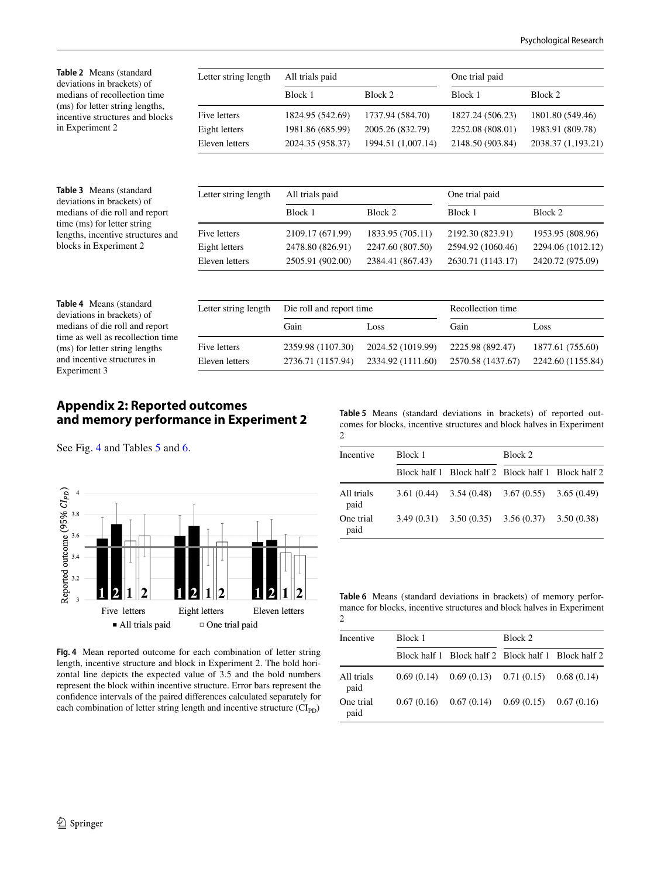<span id="page-13-1"></span><span id="page-13-0"></span>

| Table 2 Means (standard<br>deviations in brackets) of                                                                        | Letter string length | All trials paid          |                    | One trial paid    |                    |
|------------------------------------------------------------------------------------------------------------------------------|----------------------|--------------------------|--------------------|-------------------|--------------------|
| medians of recollection time                                                                                                 |                      | Block 1                  | Block 2            | Block 1           | Block 2            |
| (ms) for letter string lengths,<br>incentive structures and blocks                                                           | Five letters         | 1824.95 (542.69)         | 1737.94 (584.70)   | 1827.24 (506.23)  | 1801.80 (549.46)   |
| in Experiment 2                                                                                                              | Eight letters        | 1981.86 (685.99)         | 2005.26 (832.79)   | 2252.08 (808.01)  | 1983.91 (809.78)   |
|                                                                                                                              | Eleven letters       | 2024.35 (958.37)         | 1994.51 (1,007.14) | 2148.50 (903.84)  | 2038.37 (1,193.21) |
|                                                                                                                              |                      |                          |                    |                   |                    |
| Table 3 Means (standard<br>deviations in brackets) of                                                                        | Letter string length | All trials paid          |                    | One trial paid    |                    |
| medians of die roll and report<br>time (ms) for letter string<br>lengths, incentive structures and<br>blocks in Experiment 2 |                      | Block 1                  | Block 2            | Block 1           | Block 2            |
|                                                                                                                              | Five letters         | 2109.17 (671.99)         | 1833.95 (705.11)   | 2192.30 (823.91)  | 1953.95 (808.96)   |
|                                                                                                                              | Eight letters        | 2478.80 (826.91)         | 2247.60 (807.50)   | 2594.92 (1060.46) | 2294.06 (1012.12)  |
|                                                                                                                              | Eleven letters       | 2505.91 (902.00)         | 2384.41 (867.43)   | 2630.71 (1143.17) | 2420.72 (975.09)   |
| Table 4 Means (standard                                                                                                      |                      |                          |                    |                   |                    |
| deviations in brackets) of                                                                                                   | Letter string length | Die roll and report time |                    | Recollection time |                    |
| medians of die roll and report                                                                                               |                      | Gain                     | Loss               | Gain              | Loss               |
| time as well as recollection time<br>(ms) for letter string lengths                                                          | Five letters         | 2359.98 (1107.30)        | 2024.52 (1019.99)  | 2225.98 (892.47)  | 1877.61 (755.60)   |
| and incentive structures in                                                                                                  | Eleven letters       | 2736.71 (1157.94)        | 2334.92 (1111.60)  | 2570.58 (1437.67) | 2242.60 (1155.84)  |

# **Appendix 2: Reported outcomes and memory performance in Experiment 2**

See Fig. [4](#page-13-2) and Tables [5](#page-13-3) and [6](#page-13-4).

<span id="page-13-5"></span>Experiment 3



<span id="page-13-2"></span>**Fig. 4** Mean reported outcome for each combination of letter string length, incentive structure and block in Experiment 2. The bold horizontal line depicts the expected value of 3.5 and the bold numbers represent the block within incentive structure. Error bars represent the confdence intervals of the paired diferences calculated separately for each combination of letter string length and incentive structure  $(CI_{PD})$ 

<span id="page-13-3"></span>**Table 5** Means (standard deviations in brackets) of reported outcomes for blocks, incentive structures and block halves in Experiment 2

| Incentive          | Block 1 |                                                     | Block 2 |  |  |
|--------------------|---------|-----------------------------------------------------|---------|--|--|
|                    |         | Block half 1 Block half 2 Block half 1 Block half 2 |         |  |  |
| All trials<br>paid |         | $3.61(0.44)$ $3.54(0.48)$ $3.67(0.55)$ $3.65(0.49)$ |         |  |  |
| One trial<br>paid  |         | $3.49(0.31)$ $3.50(0.35)$ $3.56(0.37)$ $3.50(0.38)$ |         |  |  |

<span id="page-13-4"></span>**Table 6** Means (standard deviations in brackets) of memory performance for blocks, incentive structures and block halves in Experiment 2

| Incentive          | Block 1 |                                                     | Block 2 |  |  |
|--------------------|---------|-----------------------------------------------------|---------|--|--|
|                    |         | Block half 1 Block half 2 Block half 1 Block half 2 |         |  |  |
| All trials<br>paid |         | $0.69(0.14)$ $0.69(0.13)$ $0.71(0.15)$ $0.68(0.14)$ |         |  |  |
| One trial<br>paid  |         | $0.67(0.16)$ $0.67(0.14)$ $0.69(0.15)$ $0.67(0.16)$ |         |  |  |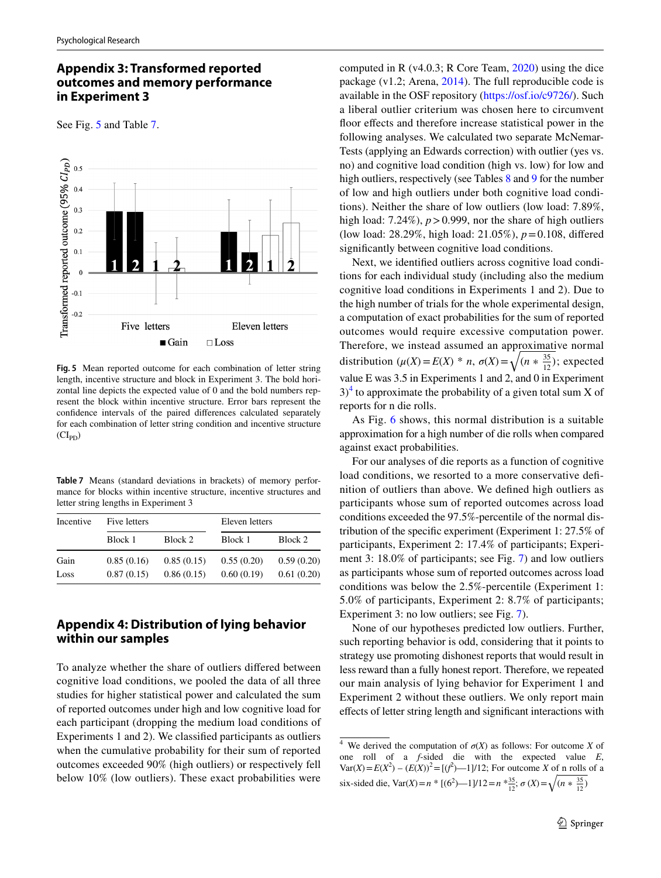# **Appendix 3: Transformed reported outcomes and memory performance in Experiment 3**

See Fig. [5](#page-14-0) and Table [7](#page-14-1).



<span id="page-14-0"></span>**Fig. 5** Mean reported outcome for each combination of letter string length, incentive structure and block in Experiment 3. The bold horizontal line depicts the expected value of 0 and the bold numbers represent the block within incentive structure. Error bars represent the confdence intervals of the paired diferences calculated separately for each combination of letter string condition and incentive structure  $(Cl_{PD})$ 

<span id="page-14-1"></span>**Table 7** Means (standard deviations in brackets) of memory performance for blocks within incentive structure, incentive structures and letter string lengths in Experiment 3

| Incentive | Five letters |            | Eleven letters |            |
|-----------|--------------|------------|----------------|------------|
|           | Block 1      | Block 2    | Block 1        | Block 2    |
| Gain      | 0.85(0.16)   | 0.85(0.15) | 0.55(0.20)     | 0.59(0.20) |
| Loss      | 0.87(0.15)   | 0.86(0.15) | 0.60(0.19)     | 0.61(0.20) |

# **Appendix 4: Distribution of lying behavior within our samples**

To analyze whether the share of outliers difered between cognitive load conditions, we pooled the data of all three studies for higher statistical power and calculated the sum of reported outcomes under high and low cognitive load for each participant (dropping the medium load conditions of Experiments 1 and 2). We classifed participants as outliers when the cumulative probability for their sum of reported outcomes exceeded 90% (high outliers) or respectively fell below 10% (low outliers). These exact probabilities were computed in R (v4.0.3; R Core Team, [2020\)](#page-17-34) using the dice package (v1.2; Arena, [2014](#page-16-21)). The full reproducible code is available in the OSF repository (<https://osf.io/c9726/>). Such a liberal outlier criterium was chosen here to circumvent floor effects and therefore increase statistical power in the following analyses. We calculated two separate McNemar-Tests (applying an Edwards correction) with outlier (yes vs. no) and cognitive load condition (high vs. low) for low and high outliers, respectively (see Tables [8](#page-15-0) and [9](#page-15-1) for the number of low and high outliers under both cognitive load conditions). Neither the share of low outliers (low load: 7.89%, high load:  $7.24\%$ ),  $p > 0.999$ , nor the share of high outliers (low load: 28.29%, high load: 21.05%), *p*=0.108, difered signifcantly between cognitive load conditions.

Next, we identifed outliers across cognitive load conditions for each individual study (including also the medium cognitive load conditions in Experiments 1 and 2). Due to the high number of trials for the whole experimental design, a computation of exact probabilities for the sum of reported outcomes would require excessive computation power. Therefore, we instead assumed an approximative normal distribution  $(\mu(X) = E(X) * n, \sigma(X) = \sqrt{(n * \frac{35}{12})};$  expected value E was 3.5 in Experiments 1 and 2, and 0 in Experiment  $3)$ <sup>[4](#page-14-2)</sup> to approximate the probability of a given total sum X of reports for n die rolls.

As Fig. [6](#page-15-2) shows, this normal distribution is a suitable approximation for a high number of die rolls when compared against exact probabilities.

For our analyses of die reports as a function of cognitive load conditions, we resorted to a more conservative definition of outliers than above. We defned high outliers as participants whose sum of reported outcomes across load conditions exceeded the 97.5%-percentile of the normal distribution of the specifc experiment (Experiment 1: 27.5% of participants, Experiment 2: 17.4% of participants; Experiment 3: 18.0% of participants; see Fig. [7](#page-15-3)) and low outliers as participants whose sum of reported outcomes across load conditions was below the 2.5%-percentile (Experiment 1: 5.0% of participants, Experiment 2: 8.7% of participants; Experiment 3: no low outliers; see Fig. [7\)](#page-15-3).

None of our hypotheses predicted low outliers. Further, such reporting behavior is odd, considering that it points to strategy use promoting dishonest reports that would result in less reward than a fully honest report. Therefore, we repeated our main analysis of lying behavior for Experiment 1 and Experiment 2 without these outliers. We only report main efects of letter string length and signifcant interactions with

<span id="page-14-2"></span><sup>&</sup>lt;sup>4</sup> We derived the computation of  $\sigma(X)$  as follows: For outcome *X* of one roll of a *f*-sided die with the expected value *E*,  $Var(X) = E(X^2) - (E(X))^2 = [(f^2) - 1]/12$ ; For outcome *X* of n rolls of a six-sided die, Var(*X*)=  $n$ <sup>\*</sup> [(6<sup>2</sup>)-1]/12= $n$ <sup>\*</sup><sup>35</sup><sub>12</sub>;  $\sigma$  (*X*)= $\sqrt{(n * \frac{35}{12})}$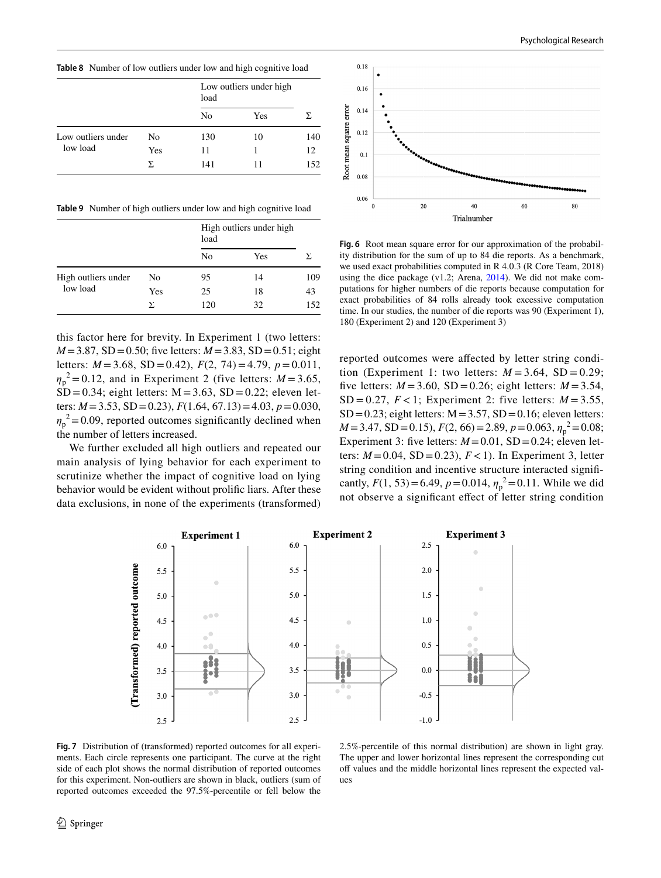Psychological Research

<span id="page-15-0"></span>**Table 8** Number of low outliers under low and high cognitive load

|                                |     | Low outliers under high<br>load |     |     |
|--------------------------------|-----|---------------------------------|-----|-----|
|                                |     | N <sub>0</sub>                  | Yes | Σ   |
| Low outliers under<br>low load | No. | 130                             | 10  | 140 |
|                                | Yes | 11                              |     | 12  |
|                                | Σ   | 141                             | 11  | 152 |

<span id="page-15-1"></span>**Table 9** Number of high outliers under low and high cognitive load

|                                 |     | High outliers under high<br>load |     |     |
|---------------------------------|-----|----------------------------------|-----|-----|
|                                 |     | No                               | Yes | Σ.  |
| High outliers under<br>low load | No  | 95                               | 14  | 109 |
|                                 | Yes | 25                               | 18  | 43  |
|                                 | Y.  | 120                              | 32  | 152 |

this factor here for brevity. In Experiment 1 (two letters: *M*=3.87, SD=0.50; five letters: *M*=3.83, SD=0.51; eight letters: *M* =3.68, SD =0.42), *F*(2, 74)=4.79, *p*=0.011,  $\eta_p^2 = 0.12$ , and in Experiment 2 (five letters:  $M = 3.65$ ,  $\overline{SD} = 0.34$ ; eight letters: M = 3.63, SD = 0.22; eleven letters: *M*=3.53, SD=0.23), *F*(1.64, 67.13)=4.03, *p*=0.030,  $\eta_p^2$  = 0.09, reported outcomes significantly declined when the number of letters increased.

We further excluded all high outliers and repeated our main analysis of lying behavior for each experiment to scrutinize whether the impact of cognitive load on lying behavior would be evident without prolifc liars. After these data exclusions, in none of the experiments (transformed)



<span id="page-15-2"></span>**Fig. 6** Root mean square error for our approximation of the probability distribution for the sum of up to 84 die reports. As a benchmark, we used exact probabilities computed in R 4.0.3 (R Core Team, 2018) using the dice package (v1.2; Arena, [2014](#page-16-21)). We did not make computations for higher numbers of die reports because computation for exact probabilities of 84 rolls already took excessive computation time. In our studies, the number of die reports was 90 (Experiment 1), 180 (Experiment 2) and 120 (Experiment 3)

reported outcomes were afected by letter string condition (Experiment 1: two letters:  $M = 3.64$ , SD = 0.29; five letters:  $M = 3.60$ , SD = 0.26; eight letters:  $M = 3.54$ , SD = 0.27,  $F < 1$ ; Experiment 2: five letters:  $M = 3.55$ ,  $SD = 0.23$ ; eight letters:  $M = 3.57$ ,  $SD = 0.16$ ; eleven letters: *M*=3.47, SD=0.15), *F*(2, 66)=2.89, *p*=0.063,  $η<sub>p</sub><sup>2</sup> = 0.08$ ; Experiment 3: five letters:  $M = 0.01$ , SD = 0.24; eleven letters:  $M = 0.04$ , SD = 0.23),  $F < 1$ ). In Experiment 3, letter string condition and incentive structure interacted signifcantly,  $F(1, 53) = 6.49$ ,  $p = 0.014$ ,  $\eta_p^2 = 0.11$ . While we did not observe a signifcant efect of letter string condition



<span id="page-15-3"></span>**Fig. 7** Distribution of (transformed) reported outcomes for all experiments. Each circle represents one participant. The curve at the right side of each plot shows the normal distribution of reported outcomes for this experiment. Non-outliers are shown in black, outliers (sum of reported outcomes exceeded the 97.5%-percentile or fell below the

2.5%-percentile of this normal distribution) are shown in light gray. The upper and lower horizontal lines represent the corresponding cut off values and the middle horizontal lines represent the expected values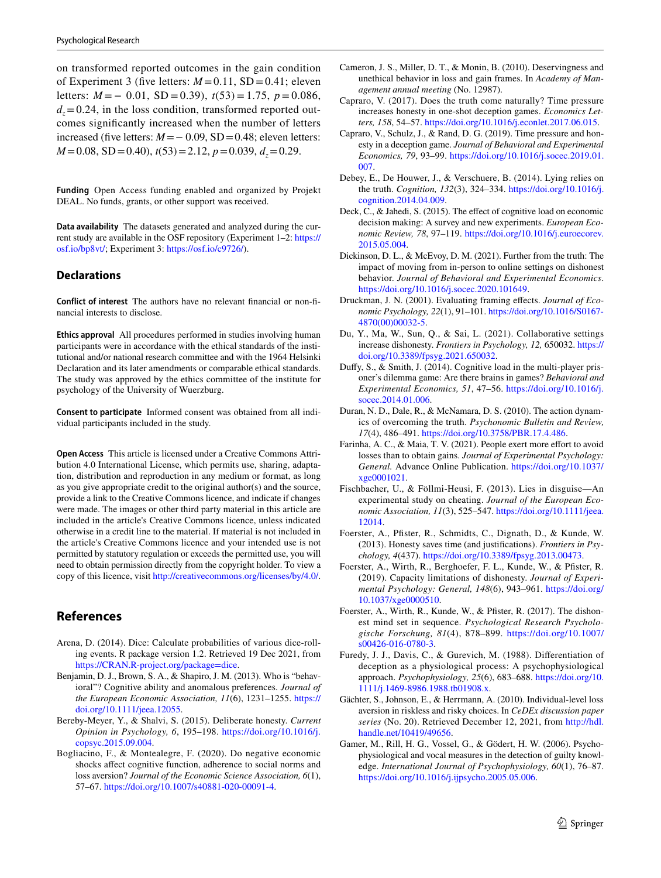on transformed reported outcomes in the gain condition of Experiment 3 (five letters:  $M = 0.11$ , SD = 0.41; eleven letters: *M* = − 0.01, SD = 0.39), *t*(53) = 1.75, *p* = 0.086,  $d_z = 0.24$ , in the loss condition, transformed reported outcomes signifcantly increased when the number of letters increased (five letters:  $M = -0.09$ , SD = 0.48; eleven letters: *M*=0.08, *SD*=0.40),  $t(53)$ =2.12,  $p$ =0.039,  $d_z$ =0.29.

**Funding** Open Access funding enabled and organized by Projekt DEAL. No funds, grants, or other support was received.

**Data availability** The datasets generated and analyzed during the current study are available in the OSF repository (Experiment 1–2: [https://](https://osf.io/bp8vt/) [osf.io/bp8vt/;](https://osf.io/bp8vt/) Experiment 3:<https://osf.io/c9726/>).

### **Declarations**

**Conflict of interest** The authors have no relevant fnancial or non-fnancial interests to disclose.

**Ethics approval** All procedures performed in studies involving human participants were in accordance with the ethical standards of the institutional and/or national research committee and with the 1964 Helsinki Declaration and its later amendments or comparable ethical standards. The study was approved by the ethics committee of the institute for psychology of the University of Wuerzburg.

**Consent to participate** Informed consent was obtained from all individual participants included in the study.

**Open Access** This article is licensed under a Creative Commons Attribution 4.0 International License, which permits use, sharing, adaptation, distribution and reproduction in any medium or format, as long as you give appropriate credit to the original author(s) and the source, provide a link to the Creative Commons licence, and indicate if changes were made. The images or other third party material in this article are included in the article's Creative Commons licence, unless indicated otherwise in a credit line to the material. If material is not included in the article's Creative Commons licence and your intended use is not permitted by statutory regulation or exceeds the permitted use, you will need to obtain permission directly from the copyright holder. To view a copy of this licence, visit <http://creativecommons.org/licenses/by/4.0/>.

# **References**

- <span id="page-16-21"></span>Arena, D. (2014). Dice: Calculate probabilities of various dice-rolling events. R package version 1.2. Retrieved 19 Dec 2021, from [https://CRAN.R-project.org/package=dice.](https://CRAN.R-project.org/package=dice)
- <span id="page-16-17"></span>Benjamin, D. J., Brown, S. A., & Shapiro, J. M. (2013). Who is "behavioral"? Cognitive ability and anomalous preferences. *Journal of the European Economic Association, 11*(6), 1231–1255. [https://](https://doi.org/10.1111/jeea.12055) [doi.org/10.1111/jeea.12055.](https://doi.org/10.1111/jeea.12055)
- <span id="page-16-7"></span>Bereby-Meyer, Y., & Shalvi, S. (2015). Deliberate honesty. *Current Opinion in Psychology, 6*, 195–198. [https://doi.org/10.1016/j.](https://doi.org/10.1016/j.copsyc.2015.09.004) [copsyc.2015.09.004.](https://doi.org/10.1016/j.copsyc.2015.09.004)
- <span id="page-16-16"></span>Bogliacino, F., & Montealegre, F. (2020). Do negative economic shocks afect cognitive function, adherence to social norms and loss aversion? *Journal of the Economic Science Association, 6*(1), 57–67. [https://doi.org/10.1007/s40881-020-00091-4.](https://doi.org/10.1007/s40881-020-00091-4)
- <span id="page-16-15"></span>Cameron, J. S., Miller, D. T., & Monin, B. (2010). Deservingness and unethical behavior in loss and gain frames. In *Academy of Management annual meeting* (No. 12987).
- <span id="page-16-8"></span>Capraro, V. (2017). Does the truth come naturally? Time pressure increases honesty in one-shot deception games. *Economics Letters, 158*, 54–57. [https://doi.org/10.1016/j.econlet.2017.06.015.](https://doi.org/10.1016/j.econlet.2017.06.015)
- <span id="page-16-9"></span>Capraro, V., Schulz, J., & Rand, D. G. (2019). Time pressure and honesty in a deception game. *Journal of Behavioral and Experimental Economics, 79*, 93–99. [https://doi.org/10.1016/j.socec.2019.01.](https://doi.org/10.1016/j.socec.2019.01.007) [007](https://doi.org/10.1016/j.socec.2019.01.007).
- <span id="page-16-0"></span>Debey, E., De Houwer, J., & Verschuere, B. (2014). Lying relies on the truth. *Cognition, 132*(3), 324–334. [https://doi.org/10.1016/j.](https://doi.org/10.1016/j.cognition.2014.04.009) [cognition.2014.04.009.](https://doi.org/10.1016/j.cognition.2014.04.009)
- <span id="page-16-10"></span>Deck, C., & Jahedi, S. (2015). The efect of cognitive load on economic decision making: A survey and new experiments. *European Economic Review, 78*, 97–119. [https://doi.org/10.1016/j.euroecorev.](https://doi.org/10.1016/j.euroecorev.2015.05.004) [2015.05.004](https://doi.org/10.1016/j.euroecorev.2015.05.004).
- <span id="page-16-12"></span>Dickinson, D. L., & McEvoy, D. M. (2021). Further from the truth: The impact of moving from in-person to online settings on dishonest behavior. *Journal of Behavioral and Experimental Economics*. <https://doi.org/10.1016/j.socec.2020.101649>.
- <span id="page-16-13"></span>Druckman, J. N. (2001). Evaluating framing efects. *Journal of Economic Psychology, 22*(1), 91–101. [https://doi.org/10.1016/S0167-](https://doi.org/10.1016/S0167-4870(00)00032-5) [4870\(00\)00032-5](https://doi.org/10.1016/S0167-4870(00)00032-5).
- <span id="page-16-20"></span>Du, Y., Ma, W., Sun, Q., & Sai, L. (2021). Collaborative settings increase dishonesty. *Frontiers in Psychology, 12,* 650032. [https://](https://doi.org/10.3389/fpsyg.2021.650032) [doi.org/10.3389/fpsyg.2021.650032.](https://doi.org/10.3389/fpsyg.2021.650032)
- <span id="page-16-11"></span>Dufy, S., & Smith, J. (2014). Cognitive load in the multi-player prisoner's dilemma game: Are there brains in games? *Behavioral and Experimental Economics, 51*, 47–56. [https://doi.org/10.1016/j.](https://doi.org/10.1016/j.socec.2014.01.006) [socec.2014.01.006](https://doi.org/10.1016/j.socec.2014.01.006).
- <span id="page-16-1"></span>Duran, N. D., Dale, R., & McNamara, D. S. (2010). The action dynamics of overcoming the truth. *Psychonomic Bulletin and Review, 17*(4), 486–491. [https://doi.org/10.3758/PBR.17.4.486.](https://doi.org/10.3758/PBR.17.4.486)
- <span id="page-16-18"></span>Farinha, A. C., & Maia, T. V. (2021). People exert more effort to avoid losses than to obtain gains. *Journal of Experimental Psychology: General.* Advance Online Publication. [https://doi.org/10.1037/](https://doi.org/10.1037/xge0001021) [xge0001021](https://doi.org/10.1037/xge0001021).
- <span id="page-16-5"></span>Fischbacher, U., & Föllmi-Heusi, F. (2013). Lies in disguise—An experimental study on cheating. *Journal of the European Economic Association, 11*(3), 525–547. [https://doi.org/10.1111/jeea.](https://doi.org/10.1111/jeea.12014) [12014.](https://doi.org/10.1111/jeea.12014)
- <span id="page-16-6"></span>Foerster, A., Pfster, R., Schmidts, C., Dignath, D., & Kunde, W. (2013). Honesty saves time (and justifcations). *Frontiers in Psychology, 4*(437).<https://doi.org/10.3389/fpsyg.2013.00473>.
- <span id="page-16-3"></span>Foerster, A., Wirth, R., Berghoefer, F. L., Kunde, W., & Pfister, R. (2019). Capacity limitations of dishonesty. *Journal of Experimental Psychology: General, 148*(6), 943–961. [https://doi.org/](https://doi.org/10.1037/xge0000510) [10.1037/xge0000510.](https://doi.org/10.1037/xge0000510)
- <span id="page-16-2"></span>Foerster, A., Wirth, R., Kunde, W., & Pfster, R. (2017). The dishonest mind set in sequence. *Psychological Research Psychologische Forschung, 81*(4), 878–899. [https://doi.org/10.1007/](https://doi.org/10.1007/s00426-016-0780-3) [s00426-016-0780-3.](https://doi.org/10.1007/s00426-016-0780-3)
- <span id="page-16-4"></span>Furedy, J. J., Davis, C., & Gurevich, M. (1988). Diferentiation of deception as a physiological process: A psychophysiological approach. *Psychophysiology, 25*(6), 683–688. [https://doi.org/10.](https://doi.org/10.1111/j.1469-8986.1988.tb01908.x) [1111/j.1469-8986.1988.tb01908.x.](https://doi.org/10.1111/j.1469-8986.1988.tb01908.x)
- <span id="page-16-14"></span>Gächter, S., Johnson, E., & Herrmann, A. (2010). Individual-level loss aversion in riskless and risky choices. In *CeDEx discussion paper series* (No. 20). Retrieved December 12, 2021, from [http://hdl.](http://hdl.handle.net/10419/49656) [handle.net/10419/49656](http://hdl.handle.net/10419/49656).
- <span id="page-16-19"></span>Gamer, M., Rill, H. G., Vossel, G., & Gödert, H. W. (2006). Psychophysiological and vocal measures in the detection of guilty knowledge. *International Journal of Psychophysiology, 60*(1), 76–87. [https://doi.org/10.1016/j.ijpsycho.2005.05.006.](https://doi.org/10.1016/j.ijpsycho.2005.05.006)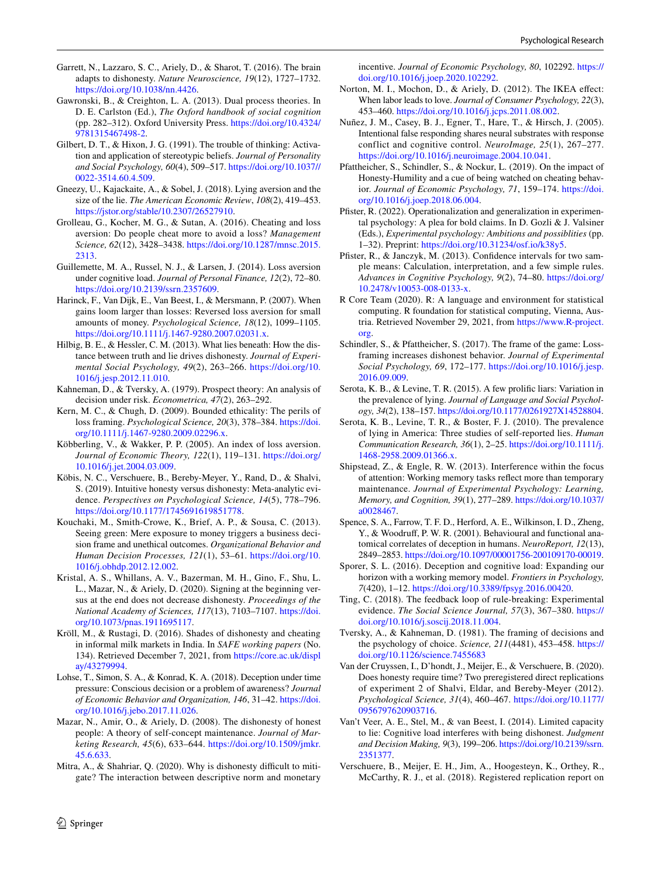- <span id="page-17-16"></span>Garrett, N., Lazzaro, S. C., Ariely, D., & Sharot, T. (2016). The brain adapts to dishonesty. *Nature Neuroscience, 19*(12), 1727–1732. <https://doi.org/10.1038/nn.4426>.
- <span id="page-17-0"></span>Gawronski, B., & Creighton, L. A. (2013). Dual process theories. In D. E. Carlston (Ed.), *The Oxford handbook of social cognition* (pp. 282–312). Oxford University Press. [https://doi.org/10.4324/](https://doi.org/10.4324/9781315467498-2) [9781315467498-2](https://doi.org/10.4324/9781315467498-2).
- <span id="page-17-12"></span>Gilbert, D. T., & Hixon, J. G. (1991). The trouble of thinking: Activation and application of stereotypic beliefs. *Journal of Personality and Social Psychology, 60*(4), 509–517. [https://doi.org/10.1037//](https://doi.org/10.1037//0022-3514.60.4.509) [0022-3514.60.4.509.](https://doi.org/10.1037//0022-3514.60.4.509)
- <span id="page-17-6"></span>Gneezy, U., Kajackaite, A., & Sobel, J. (2018). Lying aversion and the size of the lie. *The American Economic Review*, *108*(2), 419–453. [https://jstor.org/stable/10.2307/26527910.](https://jstor.org/stable/10.2307/26527910)
- <span id="page-17-23"></span>Grolleau, G., Kocher, M. G., & Sutan, A. (2016). Cheating and loss aversion: Do people cheat more to avoid a loss? *Management Science, 62*(12), 3428–3438. [https://doi.org/10.1287/mnsc.2015.](https://doi.org/10.1287/mnsc.2015.2313) [2313](https://doi.org/10.1287/mnsc.2015.2313).
- <span id="page-17-26"></span>Guillemette, M. A., Russel, N. J., & Larsen, J. (2014). Loss aversion under cognitive load. *Journal of Personal Finance, 12*(2), 72–80. <https://doi.org/10.2139/ssrn.2357609>.
- <span id="page-17-28"></span>Harinck, F., Van Dijk, E., Van Beest, I., & Mersmann, P. (2007). When gains loom larger than losses: Reversed loss aversion for small amounts of money. *Psychological Science, 18*(12), 1099–1105. <https://doi.org/10.1111/j.1467-9280.2007.02031.x>.
- <span id="page-17-3"></span>Hilbig, B. E., & Hessler, C. M. (2013). What lies beneath: How the distance between truth and lie drives dishonesty. *Journal of Experimental Social Psychology, 49*(2), 263–266. [https://doi.org/10.](https://doi.org/10.1016/j.jesp.2012.11.010) [1016/j.jesp.2012.11.010](https://doi.org/10.1016/j.jesp.2012.11.010).
- <span id="page-17-21"></span>Kahneman, D., & Tversky, A. (1979). Prospect theory: An analysis of decision under risk. *Econometrica, 47*(2), 263–292.
- <span id="page-17-25"></span>Kern, M. C., & Chugh, D. (2009). Bounded ethicality: The perils of loss framing. *Psychological Science, 20*(3), 378–384. [https://doi.](https://doi.org/10.1111/j.1467-9280.2009.02296.x) [org/10.1111/j.1467-9280.2009.02296.x](https://doi.org/10.1111/j.1467-9280.2009.02296.x).
- <span id="page-17-27"></span>Köbberling, V., & Wakker, P. P. (2005). An index of loss aversion. *Journal of Economic Theory, 122*(1), 119–131. [https://doi.org/](https://doi.org/10.1016/j.jet.2004.03.009) [10.1016/j.jet.2004.03.009.](https://doi.org/10.1016/j.jet.2004.03.009)
- <span id="page-17-8"></span>Köbis, N. C., Verschuere, B., Bereby-Meyer, Y., Rand, D., & Shalvi, S. (2019). Intuitive honesty versus dishonesty: Meta-analytic evidence. *Perspectives on Psychological Science, 14*(5), 778–796. [https://doi.org/10.1177/1745691619851778.](https://doi.org/10.1177/1745691619851778)
- <span id="page-17-20"></span>Kouchaki, M., Smith-Crowe, K., Brief, A. P., & Sousa, C. (2013). Seeing green: Mere exposure to money triggers a business decision frame and unethical outcomes. *Organizational Behavior and Human Decision Processes, 121*(1), 53–61. [https://doi.org/10.](https://doi.org/10.1016/j.obhdp.2012.12.002) [1016/j.obhdp.2012.12.002.](https://doi.org/10.1016/j.obhdp.2012.12.002)
- <span id="page-17-14"></span>Kristal, A. S., Whillans, A. V., Bazerman, M. H., Gino, F., Shu, L. L., Mazar, N., & Ariely, D. (2020). Signing at the beginning versus at the end does not decrease dishonesty. *Proceedings of the National Academy of Sciences, 117*(13), 7103–7107. [https://doi.](https://doi.org/10.1073/pnas.1911695117) [org/10.1073/pnas.1911695117.](https://doi.org/10.1073/pnas.1911695117)
- <span id="page-17-33"></span>Kröll, M., & Rustagi, D. (2016). Shades of dishonesty and cheating in informal milk markets in India. In *SAFE working papers* (No. 134). Retrieved December 7, 2021, from [https://core.ac.uk/displ](https://core.ac.uk/display/43279994) [ay/43279994.](https://core.ac.uk/display/43279994)
- <span id="page-17-9"></span>Lohse, T., Simon, S. A., & Konrad, K. A. (2018). Deception under time pressure: Conscious decision or a problem of awareness? *Journal of Economic Behavior and Organization, 146*, 31–42. [https://doi.](https://doi.org/10.1016/j.jebo.2017.11.026) [org/10.1016/j.jebo.2017.11.026.](https://doi.org/10.1016/j.jebo.2017.11.026)
- <span id="page-17-7"></span>Mazar, N., Amir, O., & Ariely, D. (2008). The dishonesty of honest people: A theory of self-concept maintenance. *Journal of Marketing Research, 45*(6), 633–644. [https://doi.org/10.1509/jmkr.](https://doi.org/10.1509/jmkr.45.6.633) [45.6.633](https://doi.org/10.1509/jmkr.45.6.633).
- <span id="page-17-18"></span>Mitra, A., & Shahriar, Q. (2020). Why is dishonesty difficult to mitigate? The interaction between descriptive norm and monetary

incentive. *Journal of Economic Psychology, 80*, 102292. [https://](https://doi.org/10.1016/j.joep.2020.102292) [doi.org/10.1016/j.joep.2020.102292](https://doi.org/10.1016/j.joep.2020.102292).

- <span id="page-17-24"></span>Norton, M. I., Mochon, D., & Ariely, D. (2012). The IKEA efect: When labor leads to love. *Journal of Consumer Psychology, 22*(3), 453–460.<https://doi.org/10.1016/j.jcps.2011.08.002>.
- <span id="page-17-1"></span>Nuñez, J. M., Casey, B. J., Egner, T., Hare, T., & Hirsch, J. (2005). Intentional false responding shares neural substrates with response conflict and cognitive control. *NeuroImage, 25*(1), 267–277. <https://doi.org/10.1016/j.neuroimage.2004.10.041>.
- <span id="page-17-17"></span>Pfattheicher, S., Schindler, S., & Nockur, L. (2019). On the impact of Honesty-Humility and a cue of being watched on cheating behavior. *Journal of Economic Psychology, 71*, 159–174. [https://doi.](https://doi.org/10.1016/j.joep.2018.06.004) [org/10.1016/j.joep.2018.06.004.](https://doi.org/10.1016/j.joep.2018.06.004)
- <span id="page-17-5"></span>Pfister, R. (2022). Operationalization and generalization in experimental psychology: A plea for bold claims. In D. Gozli & J. Valsiner (Eds.), *Experimental psychology: Ambitions and possiblities* (pp. 1–32). Preprint: <https://doi.org/10.31234/osf.io/k38y5>.
- <span id="page-17-19"></span>Pfister, R., & Janczyk, M. (2013). Confidence intervals for two sample means: Calculation, interpretation, and a few simple rules. *Advances in Cognitive Psychology, 9*(2), 74–80. [https://doi.org/](https://doi.org/10.2478/v10053-008-0133-x) [10.2478/v10053-008-0133-x](https://doi.org/10.2478/v10053-008-0133-x).
- <span id="page-17-34"></span>R Core Team (2020). R: A language and environment for statistical computing. R foundation for statistical computing, Vienna, Austria. Retrieved November 29, 2021, from [https://www.R-project.](https://www.R-project.org) [org](https://www.R-project.org).
- <span id="page-17-4"></span>Schindler, S., & Pfattheicher, S. (2017). The frame of the game: Lossframing increases dishonest behavior. *Journal of Experimental Social Psychology, 69*, 172–177. [https://doi.org/10.1016/j.jesp.](https://doi.org/10.1016/j.jesp.2016.09.009) [2016.09.009](https://doi.org/10.1016/j.jesp.2016.09.009).
- <span id="page-17-31"></span>Serota, K. B., & Levine, T. R. (2015). A few prolifc liars: Variation in the prevalence of lying. *Journal of Language and Social Psychology, 34*(2), 138–157. [https://doi.org/10.1177/0261927X14528804.](https://doi.org/10.1177/0261927X14528804)
- <span id="page-17-32"></span>Serota, K. B., Levine, T. R., & Boster, F. J. (2010). The prevalence of lying in America: Three studies of self-reported lies. *Human Communication Research, 36*(1), 2–25. [https://doi.org/10.1111/j.](https://doi.org/10.1111/j.1468-2958.2009.01366.x) [1468-2958.2009.01366.x.](https://doi.org/10.1111/j.1468-2958.2009.01366.x)
- <span id="page-17-30"></span>Shipstead, Z., & Engle, R. W. (2013). Interference within the focus of attention: Working memory tasks refect more than temporary maintenance. *Journal of Experimental Psychology: Learning, Memory, and Cognition, 39*(1), 277–289. [https://doi.org/10.1037/](https://doi.org/10.1037/a0028467) [a0028467](https://doi.org/10.1037/a0028467).
- <span id="page-17-2"></span>Spence, S. A., Farrow, T. F. D., Herford, A. E., Wilkinson, I. D., Zheng, Y., & Woodruf, P. W. R. (2001). Behavioural and functional anatomical correlates of deception in humans. *NeuroReport, 12*(13), 2849–2853.<https://doi.org/10.1097/00001756-200109170-00019>.
- <span id="page-17-11"></span>Sporer, S. L. (2016). Deception and cognitive load: Expanding our horizon with a working memory model. *Frontiers in Psychology, 7*(420), 1–12. [https://doi.org/10.3389/fpsyg.2016.00420.](https://doi.org/10.3389/fpsyg.2016.00420)
- <span id="page-17-29"></span>Ting, C. (2018). The feedback loop of rule-breaking: Experimental evidence. *The Social Science Journal, 57*(3), 367–380. [https://](https://doi.org/10.1016/j.soscij.2018.11.004) [doi.org/10.1016/j.soscij.2018.11.004](https://doi.org/10.1016/j.soscij.2018.11.004).
- <span id="page-17-22"></span>Tversky, A., & Kahneman, D. (1981). The framing of decisions and the psychology of choice. *Science, 211*(4481), 453–458. [https://](https://doi.org/10.1126/science.7455683) [doi.org/10.1126/science.7455683](https://doi.org/10.1126/science.7455683)
- <span id="page-17-10"></span>Van der Cruyssen, I., D'hondt, J., Meijer, E., & Verschuere, B. (2020). Does honesty require time? Two preregistered direct replications of experiment 2 of Shalvi, Eldar, and Bereby-Meyer (2012). *Psychological Science, 31*(4), 460–467. [https://doi.org/10.1177/](https://doi.org/10.1177/0956797620903716) [0956797620903716.](https://doi.org/10.1177/0956797620903716)
- <span id="page-17-13"></span>Van't Veer, A. E., Stel, M., & van Beest, I. (2014). Limited capacity to lie: Cognitive load interferes with being dishonest. *Judgment and Decision Making, 9*(3), 199–206. [https://doi.org/10.2139/ssrn.](https://doi.org/10.2139/ssrn.2351377) [2351377](https://doi.org/10.2139/ssrn.2351377).
- <span id="page-17-15"></span>Verschuere, B., Meijer, E. H., Jim, A., Hoogesteyn, K., Orthey, R., McCarthy, R. J., et al. (2018). Registered replication report on